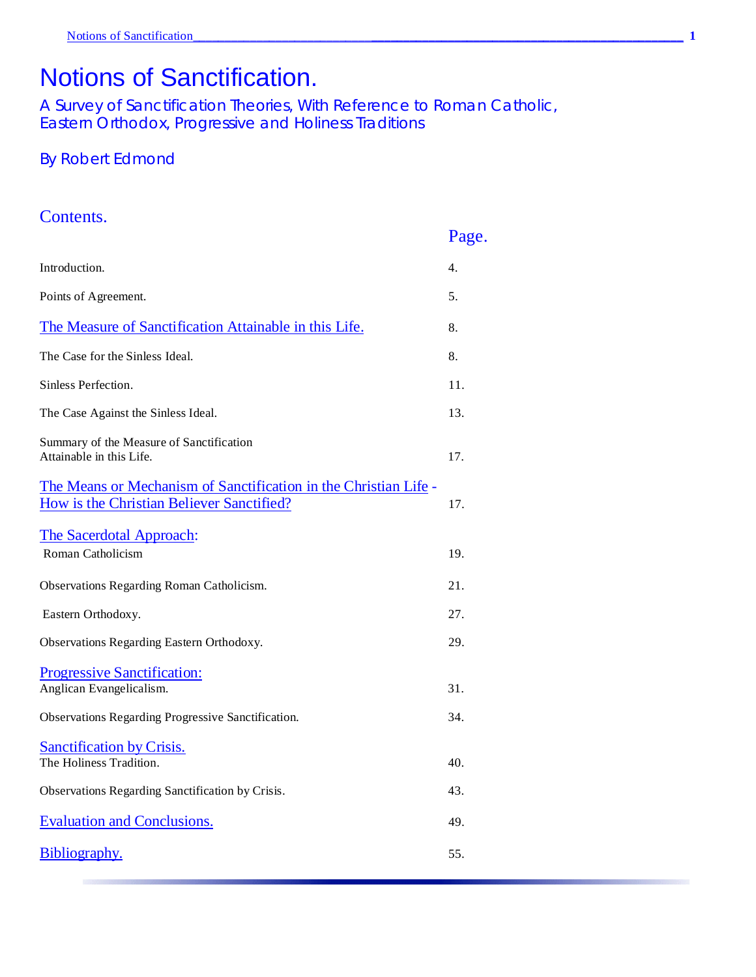# Notions of Sanctification.

A Survey of Sanctification Theories, With Reference to Roman Catholic, Eastern Orthodox, Progressive and Holiness Traditions

## By Robert Edmond

#### Contents.

|                                                                                                               | Page. |
|---------------------------------------------------------------------------------------------------------------|-------|
| Introduction.                                                                                                 | 4.    |
| Points of Agreement.                                                                                          | 5.    |
| The Measure of Sanctification Attainable in this Life.                                                        | 8.    |
| The Case for the Sinless Ideal.                                                                               | 8.    |
| Sinless Perfection.                                                                                           | 11.   |
| The Case Against the Sinless Ideal.                                                                           | 13.   |
| Summary of the Measure of Sanctification<br>Attainable in this Life.                                          | 17.   |
| The Means or Mechanism of Sanctification in the Christian Life -<br>How is the Christian Believer Sanctified? | 17.   |
| The Sacerdotal Approach:<br>Roman Catholicism                                                                 | 19.   |
| Observations Regarding Roman Catholicism.                                                                     | 21.   |
| Eastern Orthodoxy.                                                                                            | 27.   |
| Observations Regarding Eastern Orthodoxy.                                                                     | 29.   |
| <b>Progressive Sanctification:</b><br>Anglican Evangelicalism.                                                | 31.   |
| Observations Regarding Progressive Sanctification.                                                            | 34.   |
| <b>Sanctification by Crisis.</b><br>The Holiness Tradition.                                                   | 40.   |
| Observations Regarding Sanctification by Crisis.                                                              | 43.   |
| <b>Evaluation and Conclusions.</b>                                                                            | 49.   |
| Bibliography.                                                                                                 | 55.   |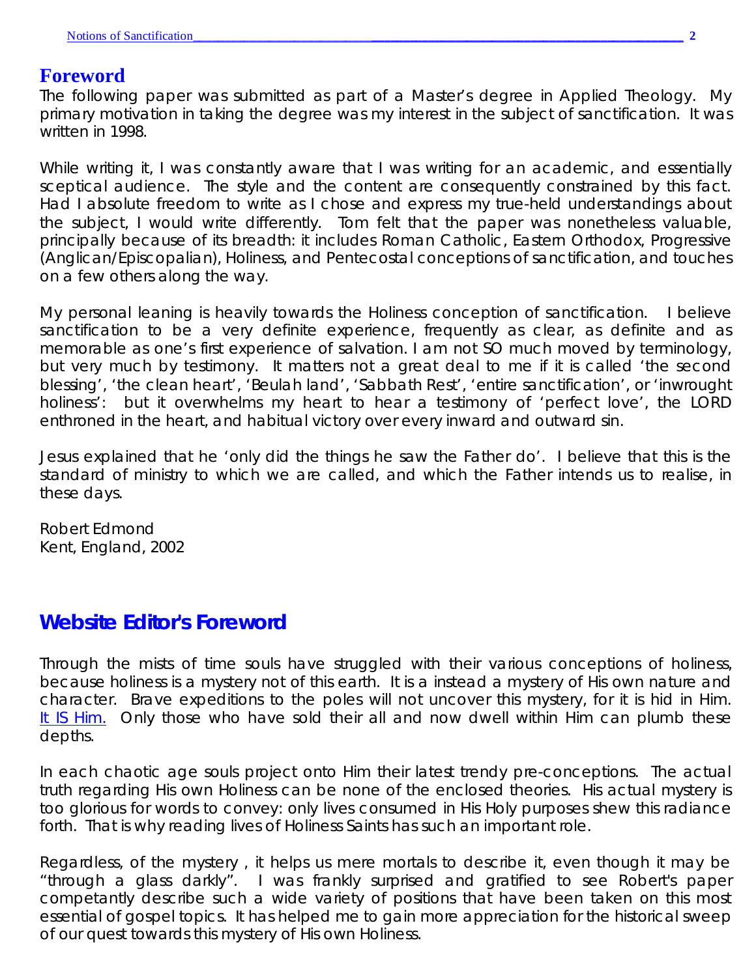## **Foreword**

The following paper was submitted as part of a Master's degree in Applied Theology. My primary motivation in taking the degree was my interest in the subject of sanctification. It was written in 1998.

While writing it, I was constantly aware that I was writing for an academic, and essentially sceptical audience. The style and the content are consequently constrained by this fact. Had I absolute freedom to write as I chose and express my true-held understandings about the subject, I would write differently. Tom felt that the paper was nonetheless valuable, principally because of its breadth: it includes Roman Catholic, Eastern Orthodox, Progressive (Anglican/Episcopalian), Holiness, and Pentecostal conceptions of sanctification, and touches on a few others along the way.

My personal leaning is heavily towards the Holiness conception of sanctification. I believe sanctification to be a very definite experience, frequently as clear, as definite and as memorable as one's first experience of salvation. I am not SO much moved by terminology, but very much by testimony. It matters not a great deal to me if it is called 'the second blessing', 'the clean heart', 'Beulah land', 'Sabbath Rest', 'entire sanctification', or 'inwrought holiness': but it overwhelms my heart to hear a testimony of 'perfect love', the LORD enthroned in the heart, and habitual victory over every inward and outward sin.

Jesus explained that he 'only did the things he saw the Father do'. I believe that this is the standard of ministry to which we are called, and which the Father intends us to realise, in these days.

Robert Edmond Kent, England, 2002

## **Website Editor's Foreword**

Through the mists of time souls have struggled with their various conceptions of holiness, because holiness is a mystery not of this earth. It is a instead a mystery of His own nature and character. Brave expeditions to the poles will not uncover this mystery, for it is hid in Him. It IS Him. Only those who have sold their all and now dwell within Him can plumb these depths.

In each chaotic age souls project onto Him their latest trendy pre-conceptions. The actual truth regarding His own Holiness can be none of the enclosed theories. His actual mystery is too glorious for words to convey: only lives consumed in His Holy purposes shew this radiance forth. That is why reading lives of Holiness Saints has such an important role.

Regardless, of the mystery , it helps us mere mortals to describe it, even though it may be "through a glass darkly". I was frankly surprised and gratified to see Robert's paper competantly describe such a wide variety of positions that have been taken on this most essential of gospel topics. It has helped me to gain more appreciation for the historical sweep of our quest towards this mystery of His own Holiness.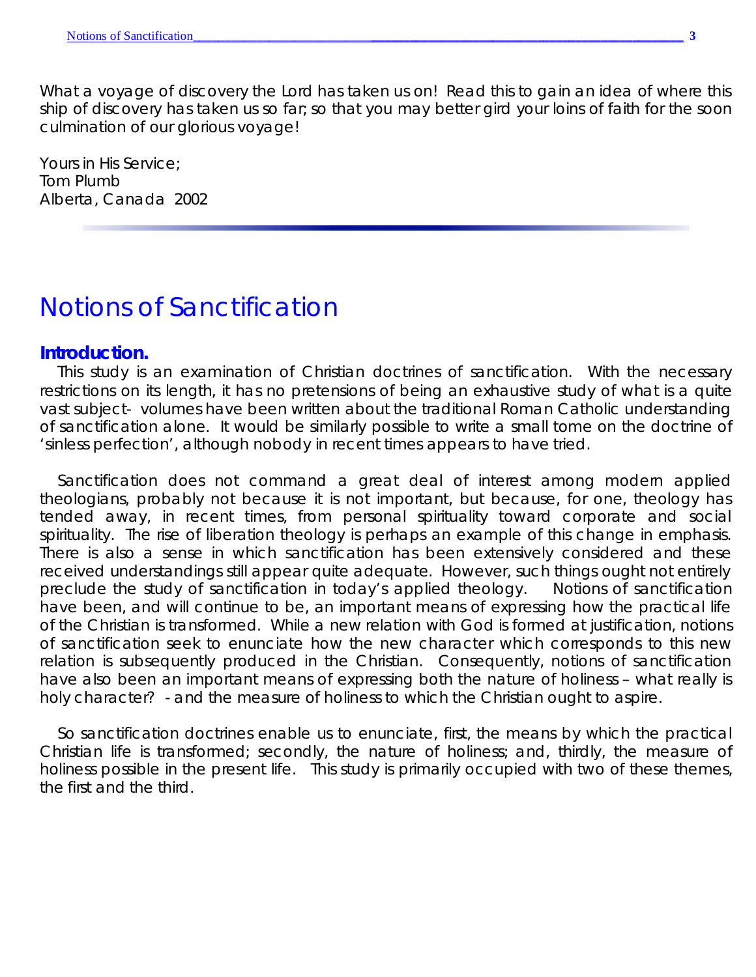What a voyage of discovery the Lord has taken us on! Read this to gain an idea of where this ship of discovery has taken us so far; so that you may better gird your loins of faith for the soon culmination of our glorious voyage!

Yours in His Service; Tom Plumb Alberta, Canada 2002

## *Notions of Sanctification*

#### **Introduction.**

This study is an examination of Christian doctrines of sanctification. With the necessary restrictions on its length, it has no pretensions of being an exhaustive study of what is a quite vast subject- volumes have been written about the traditional Roman Catholic understanding of sanctification alone. It would be similarly possible to write a small tome on the doctrine of 'sinless perfection', although nobody in recent times appears to have tried.

Sanctification does not command a great deal of interest among modern applied theologians, probably not because it is not important, but because, for one, theology has tended away, in recent times, from personal spirituality toward corporate and social spirituality. The rise of liberation theology is perhaps an example of this change in emphasis. There is also a sense in which sanctification has *been* extensively considered and these received understandings still appear quite adequate. However, such things ought not entirely preclude the study of sanctification in today's applied theology. Notions of sanctification have been, and will continue to be, an important means of expressing *how* the practical life of the Christian is transformed. While a new *relation* with God is formed at justification, notions of sanctification seek to enunciate how the new *character* which *corresponds* to this new relation is subsequently produced in the Christian. Consequently, notions of sanctification have also been an important means of expressing both the *nature* of holiness – what really *is* holy character? - and the *measure* of holiness to which the Christian ought to aspire.

So sanctification doctrines enable us to enunciate, first, the means by which the practical Christian life is transformed; secondly, the nature of holiness; and, thirdly, the measure of holiness possible in the present life. This study is primarily occupied with two of these themes, the first and the third.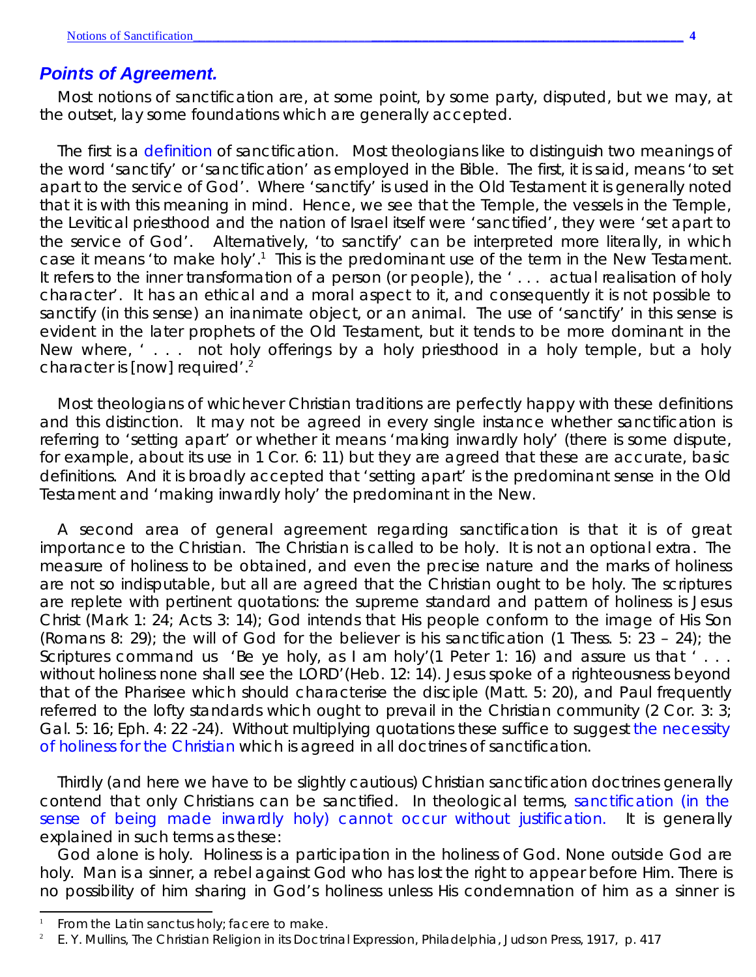### *Points of Agreement.*

Most notions of sanctification are, at some point, by some party, disputed, but we may, at the outset, lay some foundations which are generally accepted.

The first is a *definition* of sanctification. Most theologians like to distinguish two meanings of the word 'sanctify' or 'sanctification' as employed in the Bible. The first, it is said, means 'to set apart to the service of God'. Where 'sanctify' is used in the Old Testament it is generally noted that it is with this meaning in mind. Hence, we see that the Temple, the vessels in the Temple, the Levitical priesthood and the nation of Israel itself were 'sanctified', they were 'set apart to the service of God'. Alternatively, 'to sanctify' can be interpreted more literally, in which case it means 'to make holy'.<sup>1</sup> This is the predominant use of the term in the New Testament. It refers to the inner transformation of a person (or people), the '... actual realisation of holy character'. It has an ethical and a moral aspect to it, and consequently it is not possible to sanctify (in this sense) an inanimate object, or an animal. The use of 'sanctify' in this sense *is* evident in the later prophets of the Old Testament, but it tends to be more dominant in the New where, '... not holy offerings by a holy priesthood in a holy temple, but a holy character is [now] required'.<sup>2</sup>

Most theologians of whichever Christian traditions are perfectly happy with these definitions and this distinction. It may not be agreed in every single instance whether sanctification is referring to 'setting apart' or whether it means 'making inwardly holy' (there is some dispute, for example, about its use in 1 Cor. 6: 11) but they are agreed that these are accurate, basic definitions. And it is broadly accepted that 'setting apart' is the predominant sense in the Old Testament and 'making inwardly holy' the predominant in the New.

A second area of general agreement regarding sanctification is that it is of great importance to the Christian. The Christian is called to be holy. It is not an optional extra. The measure of holiness to be obtained, and even the precise nature and the marks of holiness are not so indisputable, but all are agreed that the Christian ought to be holy. The scriptures are replete with pertinent quotations: the supreme standard and pattern of holiness is Jesus Christ (Mark 1: 24; Acts 3: 14); God intends that His people conform to the image of His Son (Romans 8: 29); the will of God for the believer is his sanctification (1 Thess. 5: 23 – 24); the Scriptures command us 'Be ye holy, as I am holy'(1 Peter 1: 16) and assure us that '... without holiness none shall see the LORD'(Heb. 12: 14). Jesus spoke of a righteousness beyond that of the Pharisee which should characterise the disciple (Matt. 5: 20), and Paul frequently referred to the lofty standards which ought to prevail in the Christian community (2 Cor. 3: 3; Gal. 5: 16; Eph. 4: 22 -24). Without multiplying quotations these suffice to suggest *the necessity of holiness for the Christian* which is agreed in all doctrines of sanctification.

Thirdly (and here we have to be slightly cautious) Christian sanctification doctrines generally contend that only Christians can be sanctified. In theological terms, *sanctification (in the sense of being made inwardly holy) cannot occur without justification*. It is generally explained in such terms as these:

God alone is holy. Holiness is a participation in the holiness of God. None outside God are holy. Man is a sinner, a rebel against God who has lost the right to appear before Him. There is no possibility of him sharing in God's holiness unless His condemnation of him as a sinner is

<sup>1</sup> From the Latin *sanctus* holy; *facere* to make.

<sup>2</sup> E. Y. Mullins, *The Christian Religion in its Doctrinal Expression*, Philadelphia, Judson Press, 1917, p. 417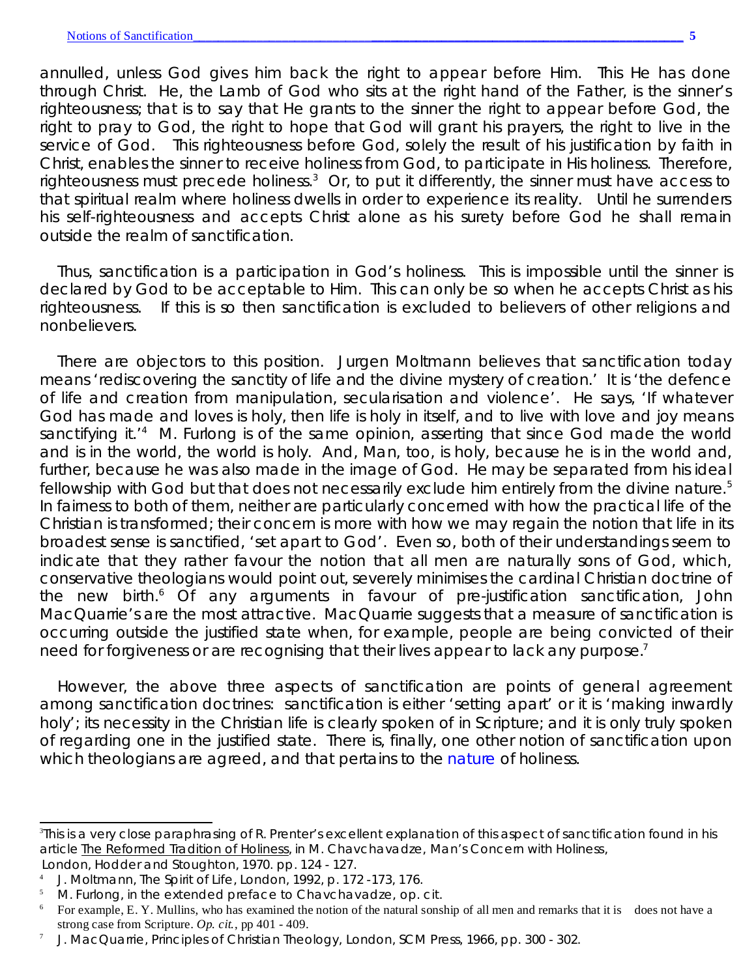annulled, unless God gives him back the right to appear before Him. This He has done through Christ. He, the Lamb of God who sits at the right hand of the Father, is the sinner's righteousness; that is to say that He grants to the sinner the right to appear before God, the right to pray to God, the right to hope that God will grant his prayers, the right to live in the service of God. This righteousness before God, solely the result of his justification by faith in Christ, enables the sinner to receive holiness from God, to participate in His holiness. Therefore, righteousness must precede holiness.<sup>3</sup> Or, to put it differently, the sinner must have access to that spiritual realm where holiness dwells in order to experience its reality. Until he surrenders his self-righteousness and accepts Christ alone as his surety before God he shall remain outside the realm of sanctification.

Thus, sanctification is a participation in God's holiness. This is impossible until the sinner is declared by God to be acceptable to Him. This can only be so when he accepts Christ as his righteousness. If this is so then sanctification is excluded to believers of other religions and nonbelievers.

There are objectors to this position. Jurgen Moltmann believes that sanctification today means 'rediscovering the sanctity of life and the divine mystery of creation.' It is 'the defence of life and creation from manipulation, secularisation and violence'. He says, 'If whatever God has made and loves is holy, then life is holy in itself, and to live with love and joy means sanctifying it.<sup>'4</sup> M. Furlong is of the same opinion, asserting that since God made the world and is in the world, the world is holy. And, Man, too, is holy, because he is in the world and, further, because he was also made in the image of God. He may be separated from his *ideal* fellowship with God but that does not necessarily exclude him entirely from the divine nature.<sup>5</sup> In fairness to both of them, neither are particularly concerned with how the practical life of the Christian is transformed; their concern is more with how we may regain the notion that life in its broadest sense is sanctified, 'set apart to God'. Even so, both of their understandings seem to indicate that they rather favour the notion that all men are naturally sons of God, which, conservative theologians would point out, severely minimises the cardinal Christian doctrine of the new birth.<sup>6</sup> Of any arguments in favour of pre-justification sanctification, John MacQuarrie's are the most attractive. MacQuarrie suggests that a measure of sanctification is occurring outside the justified state when, for example, people are being convicted of their need for forgiveness or are recognising that their lives appear to lack any purpose.<sup>7</sup>

However, the above three aspects of sanctification are points of general agreement among sanctification doctrines: sanctification is either 'setting apart' or it is 'making inwardly holy'; its necessity in the Christian life is clearly spoken of in Scripture; and it is only truly spoken of regarding one in the justified state. There is, finally, one other notion of sanctification upon which theologians are agreed, and that pertains to the *nature* of holiness.

<sup>3</sup> This is a very close paraphrasing of R. Prenter's excellent explanation of this aspect of sanctification found in his article The Reformed Tradition of Holiness, in M. Chavchavadze, *Man's Concern with Holiness*, London, Hodder and Stoughton, 1970. pp. 124 - 127.

<sup>4</sup> J. Moltmann, *The Spirit of Life*, London, 1992, p. 172 -173, 176.

<sup>5</sup> M. Furlong, in the extended preface to Chavchavadze, *op. cit*.

<sup>&</sup>lt;sup>6</sup> For example, E. Y. Mullins, who has examined the notion of the natural sonship of all men and remarks that it is does not have a strong case from Scripture. *Op. cit.*, pp 401 - 409.

<sup>7</sup> J. MacQuarrie*, Principles of Christian Theology,* London, SCM Press, 1966, pp. 300 - 302.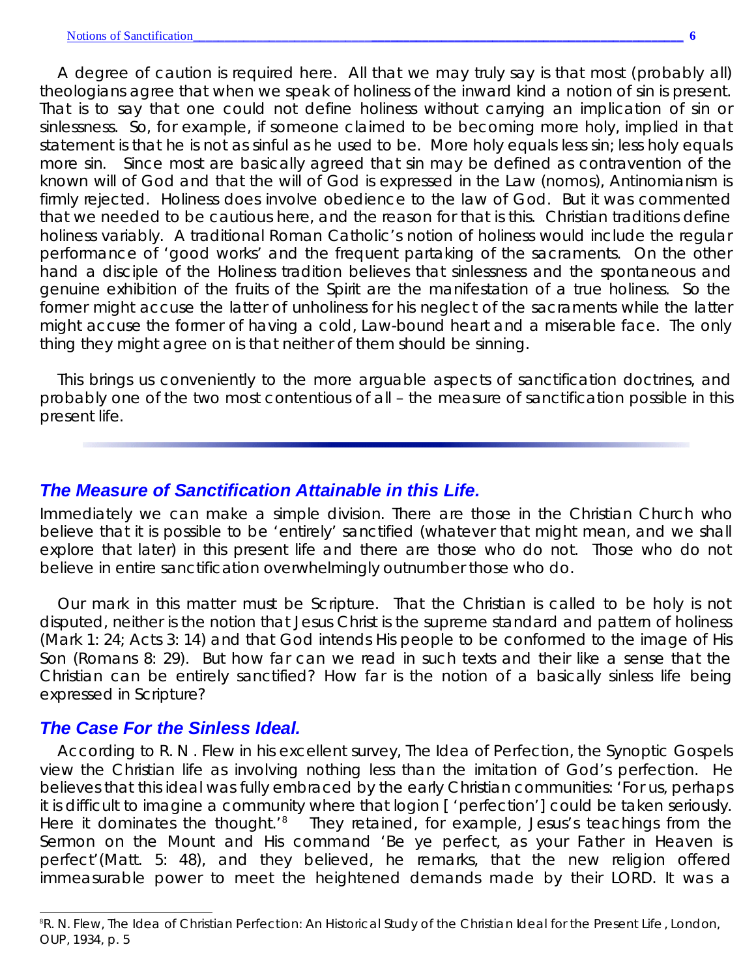A degree of caution is required here. All that we may truly say is that most (*probably* all) theologians agree that when we speak of holiness of the inward kind a notion of sin is present. That is to say that one could not define holiness without carrying an implication of sin or sinlessness. So, for example, if someone claimed to be becoming more holy, implied in that statement is that he is not as sinful as he used to be. More holy equals less sin; less holy equals more sin. Since most are basically agreed that sin may be defined as contravention of the known will of God and that the will of God is expressed in the Law (*nomos*), Antinomianism is firmly rejected. Holiness *does* involve obedience to the law of God. But it was commented that we needed to be cautious here, and the reason for that is this. Christian traditions define holiness variably. A traditional Roman Catholic's notion of holiness would include the regular performance of 'good works' and the frequent partaking of the sacraments. On the other hand a disciple of the Holiness tradition believes that sinlessness and the spontaneous and genuine exhibition of the fruits of the Spirit are the manifestation of a true holiness. So the former might accuse the latter of unholiness for his neglect of the sacraments while the latter might accuse the former of having a cold, Law-bound heart and a miserable face. The only thing they might agree on is that neither of them should be sinning.

This brings us conveniently to the more arguable aspects of sanctification doctrines, and probably one of the two most contentious of all – the *measure* of sanctification possible in this present life.

## *The Measure of Sanctification Attainable in this Life.*

Immediately we can make a simple division. There are those in the Christian Church who believe that it is possible to be 'entirely' sanctified (whatever that might mean, and we shall explore that later) in this present life and there are those who do not. Those who do not believe in entire sanctification overwhelmingly outnumber those who do.

Our mark in this matter must be Scripture. That the Christian is called to be holy is not disputed, neither is the notion that Jesus Christ is the supreme standard and pattern of holiness (Mark 1: 24; Acts 3: 14) and that God intends His people to be conformed to the image of His Son (Romans 8: 29). But how far can we read in such texts and their like a sense that the Christian can be entirely sanctified? How far is the notion of a basically sinless life being expressed in Scripture?

## *The Case For the Sinless Ideal.*

According to R. N . Flew in his excellent survey, *The Idea of Perfection*, the Synoptic Gospels view the Christian life as involving nothing less than the imitation of God's perfection. He believes that this ideal was fully embraced by the early Christian communities: 'For us, perhaps it is difficult to imagine a community where that *logion* [ 'perfection'] could be taken seriously. Here it dominates the thought.<sup>'8</sup> They retained, for example, Jesus's teachings from the Sermon on the Mount and His command 'Be ye perfect, as your Father in Heaven is perfect'(Matt. 5: 48), and they believed, he remarks, that the new religion offered immeasurable power to meet the heightened demands made by their LORD. It was a

<sup>8</sup>R. N. Flew, *The Idea of Christian Perfection: An Historical Study of the Christian Ideal for the Present Life*, London, OUP, 1934, p. 5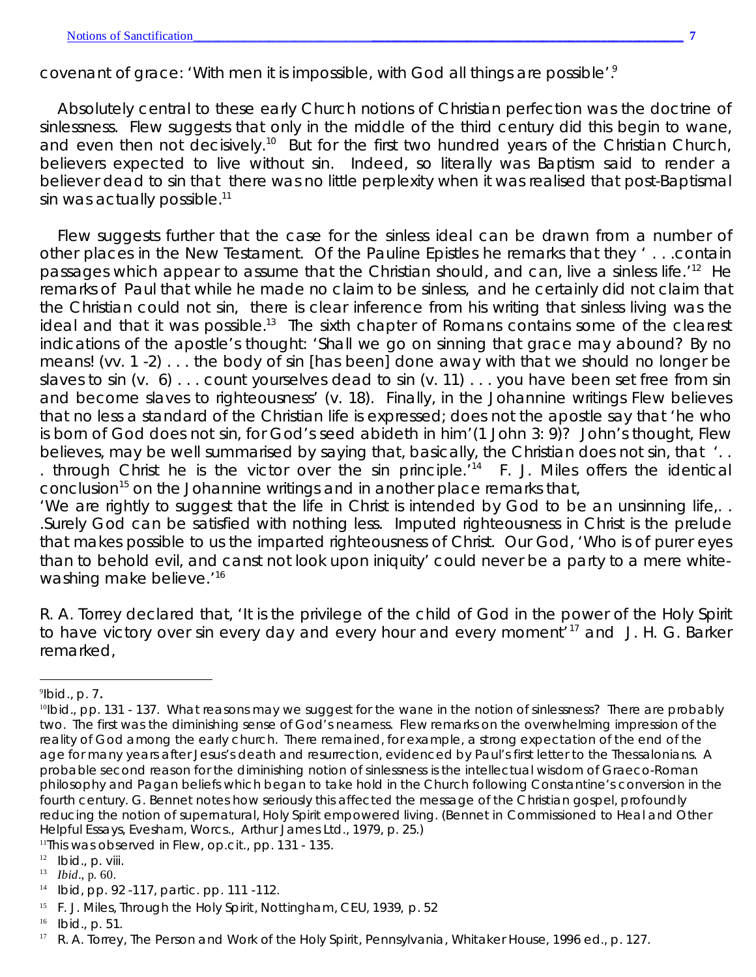covenant of grace: 'With men it is impossible, with God all things are possible'.<sup>9</sup>

Absolutely central to these early Church notions of Christian perfection was the doctrine of sinlessness. Flew suggests that only in the middle of the third century did this begin to wane, and even then not decisively.<sup>10</sup> But for the first two hundred years of the Christian Church, believers expected to live without sin. Indeed, so literally was Baptism said to render a believer dead to sin that there was no little perplexity when it was realised that post-Baptismal sin was actually possible. $11$ 

Flew suggests further that the case for the sinless ideal can be drawn from a number of other places in the New Testament. Of the Pauline Epistles he remarks that they ' . . .contain passages which appear to assume that the Christian should, and can, live a sinless life.<sup>'12</sup> He remarks of Paul that while he made no claim to be sinless, and he certainly did not claim that the Christian *could* not sin, there is clear inference from his writing that sinless living was the ideal and that it was possible.<sup>13</sup> The sixth chapter of Romans contains some of the clearest indications of the apostle's thought: 'Shall we go on sinning that grace may abound? By no means! (vv. 1 -2) . . . the body of sin [has been] done away with that we should no longer be slaves to sin (v.  $6)$ ... count yourselves dead to sin (v. 11)... you have been set free from sin and become slaves to righteousness' (v. 18). Finally, in the Johannine writings Flew believes that no less a standard of the Christian life is expressed; does not the apostle say that 'he who is born of God does not sin, for God's seed abideth in him'(1 John 3: 9)? John's thought, Flew believes, may be well summarised by saying that, basically, the Christian does not sin, that '.. . through Christ he is the victor over the sin principle.<sup> $14$ </sup> F. J. Miles offers the identical conclusion<sup>15</sup> on the Johannine writings and in another place remarks that,

'We are rightly to suggest that the life in Christ is intended by God to be an unsinning life,. . .Surely God can be satisfied with nothing less. Imputed righteousness in Christ is the prelude that makes possible to us the imparted righteousness of Christ. Our God, 'Who is of purer eyes than to behold evil, and canst not look upon iniquity' could never be a party to a mere whitewashing make believe.<sup>'16</sup>

R. A. Torrey declared that, 'It is the privilege of the child of God in the power of the Holy Spirit to have victory over sin every day and every hour and every moment'<sup>17</sup> and J. H. G. Barker remarked,

<sup>11</sup>This was observed in Flew, *op.cit.*, pp. 131 - 135.

<sup>9</sup> *Ibid.*, p. 7.

<sup>&</sup>lt;sup>10</sup>Ibid., pp. 131 - 137. What reasons may we suggest for the wane in the notion of sinlessness? There are probably two. The first was the diminishing sense of God's nearness. Flew remarks on the overwhelming impression of the reality of God among the early church. There remained, for example, a strong expectation of the end of the age for many years after Jesus's death and resurrection, evidenced by Paul's first letter to the Thessalonians. A probable second reason for the diminishing notion of sinlessness is the intellectual wisdom of Graeco-Roman philosophy and Pagan beliefs which began to take hold in the Church following Constantine's conversion in the fourth century. G. Bennet notes how seriously this affected the message of the Christian gospel, profoundly reducing the notion of supernatural, Holy Spirit empowered living. (Bennet in *Commissioned to Heal and Other Helpful Essays*, Evesham, Worcs., Arthur James Ltd., 1979, p. 25.)

 $12$  *Ibid.*, p. viii.

<sup>13</sup> *Ibid*., p. 60.

<sup>14</sup> *Ibid*, pp. 92 -117, partic. pp. 111 -112.

<sup>15</sup> F. J. Miles, *Through the Holy Spirit*, Nottingham, CEU, 1939, p. 52

<sup>16</sup> *Ibid*., p. 51.

<sup>17</sup> R. A. Torrey, *The Person and Work of the Holy Spirit*, Pennsylvania, Whitaker House, 1996 ed., p. 127.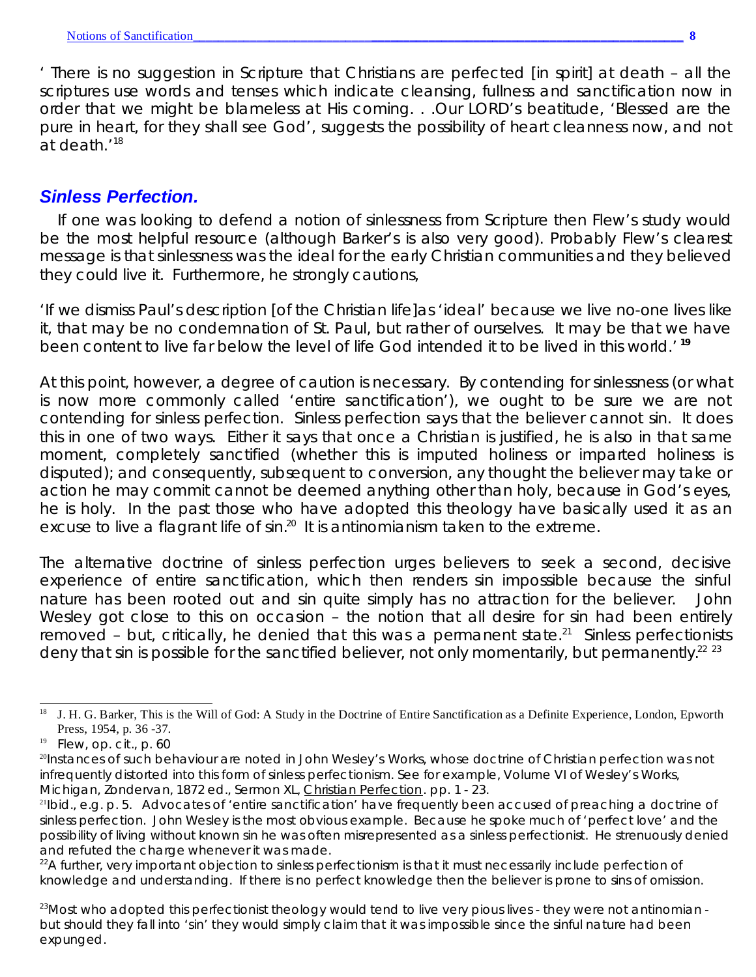' There is no suggestion in Scripture that Christians are perfected [in spirit] at death – all the scriptures use words and tenses which indicate cleansing, fullness and sanctification now in order that we might be blameless at His coming. . .Our LORD's beatitude, 'Blessed are the pure in heart, for they shall see God', suggests the possibility of heart cleanness now, and not at death.'<sup>18</sup>

## *Sinless Perfection.*

If one was looking to defend a notion of sinlessness from Scripture then Flew's study would be the most helpful resource (although Barker's is also very good). Probably Flew's clearest message is that sinlessness *was* the ideal for the early Christian communities and they believed they could live it. Furthermore, he strongly cautions,

'If we dismiss Paul's description [of the Christian life]as 'ideal' because we live no-one lives like it, that may be no condemnation of St. Paul, but rather of ourselves. It may be that we have been content to live far below the level of life God intended it to be lived in this world.' **<sup>19</sup>**

At this point, however, a degree of caution is necessary. By contending for sinlessness (or what is now more commonly called 'entire sanctification'), we ought to be sure we are *not* contending for sinless perfection. Sinless perfection says that the believer *cannot* sin. It does this in one of two ways. Either it says that once a Christian is justified, he is also in that same moment, completely sanctified (whether this is *imputed* holiness or *imparted* holiness is disputed); and consequently, subsequent to conversion, any thought the believer may take or action he may commit cannot be deemed anything other than holy, because in God's eyes, he *is* holy. In the past those who have adopted this theology have basically used it as an excuse to live a flagrant life of  $sin.^{20}$  It is antinomianism taken to the extreme.

The alternative doctrine of sinless perfection urges believers to seek a second, decisive experience of entire sanctification, *which then renders sin impossible because the sinful nature has been rooted out* and sin quite simply has no attraction for the believer. John Wesley got close to this on occasion – the notion that all desire for sin had been entirely removed – but, critically, he denied that this was a permanent state.<sup>21</sup> Sinless perfectionists deny that sin is possible for the sanctified believer, not only momentarily, but permanently.<sup>22</sup>  $^{23}$ 

<sup>&</sup>lt;sup>18</sup> J. H. G. Barker, This is the Will of God: A Study in the Doctrine of Entire Sanctification as a Definite Experience, London, Epworth Press, 1954, p. 36 -37.

<sup>19</sup> Flew, *op. cit*., p. 60

<sup>20</sup>Instances of such behaviour are noted in John Wesley's *Works*, whose doctrine of Christian perfection was not infrequently distorted into this form of sinless perfectionism. See for example, Volume VI of Wesley's *Works*, Michigan, Zondervan, 1872 ed., Sermon XL, Christian Perfection. pp. 1 - 23.

<sup>&</sup>lt;sup>21</sup>Ibid., e.g. p. 5. Advocates of 'entire sanctification' have frequently been accused of preaching a doctrine of sinless perfection. John Wesley is the most obvious example. Because he spoke much of 'perfect love' and the possibility of living without known sin he was often misrepresented as a sinless perfectionist. He strenuously denied and refuted the charge whenever it was made.

<sup>&</sup>lt;sup>22</sup>A further, very important objection to sinless perfectionism is that it must necessarily include perfection of knowledge and understanding. If there is no perfect knowledge then the believer is prone to sins of omission.

 $^{23}$ Most who adopted this perfectionist theology would tend to live very pious lives - they were not antinomian but should they fall into 'sin' they would simply claim that it was impossible since the sinful nature had been expunged.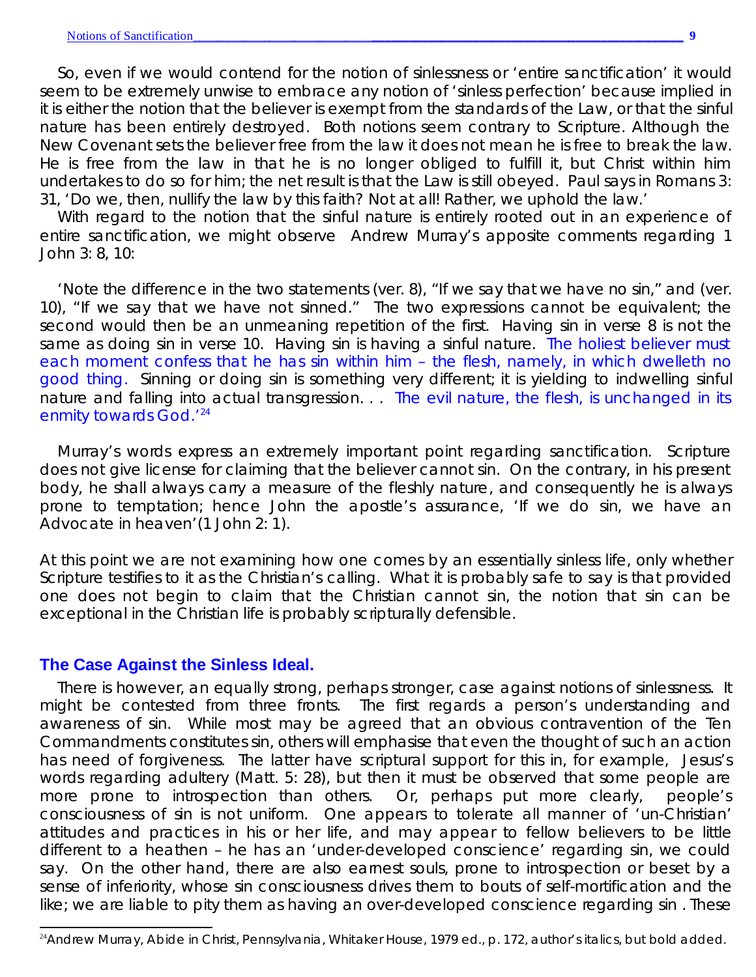So, even if we would contend for the notion of sinlessness or 'entire sanctification' it would seem to be extremely unwise to embrace any notion of 'sinless perfection' because implied in it is either the notion that the believer is exempt from the standards of the Law, or that the sinful nature has been entirely destroyed. Both notions seem contrary to Scripture. Although the New Covenant sets the believer free from the law it does not mean he is free to *break* the law. He is free from the law in that he is no longer obliged to fulfill it, *but Christ within him undertakes to do so for him*; the net result is that the Law is still obeyed. Paul says in Romans 3: 31, 'Do we, then, nullify the law by this faith? Not at all! Rather, we uphold the law.'

With regard to the notion that the sinful nature is entirely rooted out in an experience of entire sanctification, we might observe Andrew Murray's apposite comments regarding 1 John 3: 8, 10:

'Note the difference in the two statements (ver. 8), "If we say that *we have no sin*," and (ver. 10), "If we say that *we have not sinned*." The two expressions cannot be equivalent; the second would then be an unmeaning repetition of the first. *Having sin* in verse 8 is not the same as *doing sin* in verse 10. *Having sin* is having a sinful nature. *The holiest believer must each moment confess that he has sin within him – the flesh, namely, in which dwelleth no good thing.* Sinning or *doing sin* is something very different; it is yielding to indwelling sinful nature and falling into actual transgression. . . *The evil nature, the flesh, is unchanged in its enmity towards God.'<sup>24</sup>*

Murray's words express an extremely important point regarding sanctification. Scripture does *not* give license for claiming that the believer *cannot* sin. On the contrary, *in his present body, he shall always carry a measure of the fleshly nature*, and consequently he is always prone to temptation; hence John the apostle's assurance, 'If we do sin, we have an Advocate in heaven'(1 John 2: 1).

At this point we are not examining *how* one comes by an essentially sinless life, only whether Scripture testifies to it as the Christian's calling. What it is probably safe to say is that provided one does not begin to claim that the Christian *cannot* sin, the notion that sin can be exceptional in the Christian life is probably scripturally defensible.

#### **The Case Against the Sinless Ideal.**

There is however, an equally strong, perhaps stronger, case *against* notions of sinlessness. It might be contested from three fronts. The first regards a person's understanding and awareness of sin. While most may be agreed that an obvious contravention of the Ten Commandments constitutes sin, others will emphasise that even the thought of such an action has need of forgiveness. The latter have scriptural support for this in, for example, Jesus's words regarding adultery (Matt. 5: 28), but then it must be observed that some people are more prone to introspection than others. Or, perhaps put more clearly, people's consciousness of sin is not uniform. One appears to tolerate all manner of 'un-Christian' attitudes and practices in his or her life, and may appear to fellow believers to be little different to a heathen – he has an 'under-developed conscience' regarding sin, we could say. On the other hand, there are also earnest souls, prone to introspection or beset by a sense of inferiority, whose sin consciousness drives them to bouts of self-mortification and the like; we are liable to pity them as having an *over*-developed conscience regarding sin . These

<sup>24</sup>Andrew Murray, *Abide in Christ*, Pennsylvania, Whitaker House, 1979 ed., p. 172, author's italics, but bold added.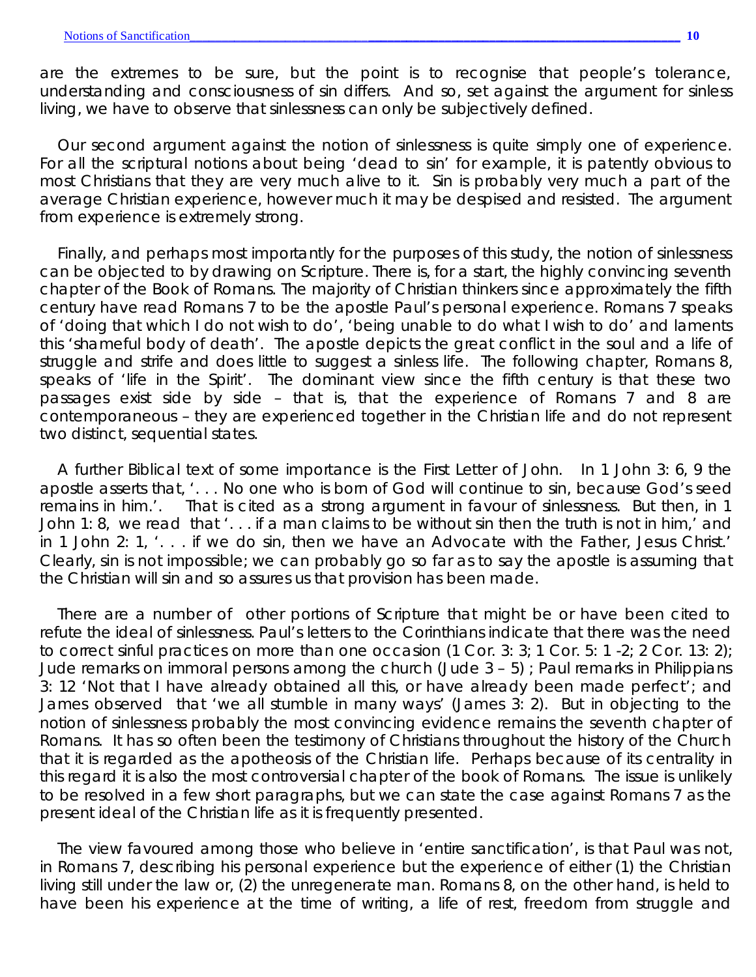are the extremes to be sure, but the point is to recognise that people's tolerance, understanding and consciousness of sin differs. And so, set against the argument for sinless living, we have to observe that sinlessness can only be subjectively defined.

Our second argument against the notion of sinlessness is quite simply one of experience. For all the scriptural notions about being 'dead to sin' for example, it is patently obvious to most Christians that they are very much alive to it. Sin is probably very much a part of the average Christian experience, however much it may be despised and resisted. The argument from experience is extremely strong.

Finally, and perhaps most importantly for the purposes of this study, the notion of sinlessness can be objected to by drawing on Scripture. There is, for a start, the highly convincing seventh chapter of the Book of Romans. The majority of Christian thinkers since approximately the fifth century have read Romans 7 to be the apostle Paul's personal experience. Romans 7 speaks of 'doing that which I do not wish to do', 'being unable to do what I wish to do' and laments this 'shameful body of death'. The apostle depicts the great conflict in the soul and a life of struggle and strife and does little to suggest a sinless life. The following chapter, Romans 8, speaks of 'life in the Spirit'. The dominant view since the fifth century is that these two passages exist side by side – that is, that the experience of Romans 7 and 8 are contemporaneous – they are experienced together in the Christian life and do not represent two distinct, sequential states.

A further Biblical text of some importance is the First Letter of John. In 1 John 3: 6, 9 the apostle asserts that, '. . . No one who is born of God will continue to sin, because God's seed remains in him.'. That is cited as a strong argument in *favour* of sinlessness. But then, in 1 John 1: 8, we read that '. . . if a man claims to be without sin then the truth is not in him,' and in 1 John 2: 1, '. . . if we do sin, then we have an Advocate with the Father, Jesus Christ.' Clearly, sin is not impossible; we can probably go so far as to say the apostle is assuming that the Christian will sin and so assures us that provision has been made.

There are a number of other portions of Scripture that might be or have been cited to refute the ideal of sinlessness. Paul's letters to the Corinthians indicate that there was the need to correct sinful practices on more than one occasion (1 Cor. 3: 3; 1 Cor. 5: 1 -2; 2 Cor. 13: 2); Jude remarks on immoral persons among the church (Jude 3 – 5) ; Paul remarks in Philippians 3: 12 'Not that I have already obtained all this, *or have already been made perfect*'; and James observed that 'we all stumble in many ways' (James 3: 2). But in objecting to the notion of sinlessness probably the most convincing evidence remains the seventh chapter of Romans. It has so often been the testimony of Christians throughout the history of the Church that it is regarded as the apotheosis of the Christian life. Perhaps because of its centrality in this regard it is also the most controversial chapter of the book of Romans. The issue is unlikely to be resolved in a few short paragraphs, but we can state the case *against* Romans 7 as the present ideal of the Christian life as it is frequently presented.

The view favoured among those who believe in 'entire sanctification', is that Paul was not, in Romans 7, describing his personal experience but the experience of either (1) the Christian living still under the law or, (2) the unregenerate man. Romans 8, on the other hand, is held to have been his experience at the time of writing, a life of rest, freedom from struggle and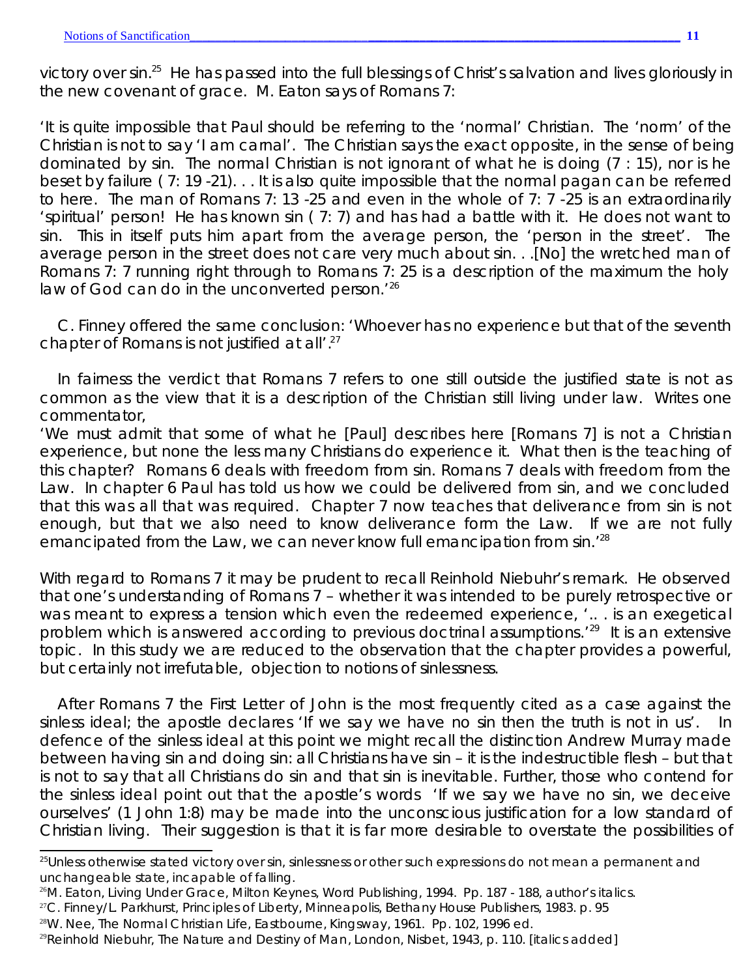victory over sin.<sup>25</sup> He has passed into the full blessings of Christ's salvation and lives gloriously in the new covenant of grace. M. Eaton says of Romans 7:

'It is quite impossible that Paul should be referring to the 'normal' Christian. The 'norm' of the Christian is not to say 'I am carnal'. The Christian says the exact opposite, in the sense of being dominated by sin. The normal Christian is not ignorant of what he is doing (7 : 15), nor is he beset by failure ( 7: 19 -21). . . It is also quite impossible that the normal pagan can be referred to here. The man of Romans 7: 13 -25 and even in the whole of 7: 7 -25 is an extraordinarily 'spiritual' person! He has known sin ( 7: 7) and has had a battle with it. He does not want to sin. This in itself puts him apart from the average person, the 'person in the street'. The average person in the street does not care very much about sin. . .[No] *the wretched man of Romans 7: 7 running right through to Romans 7: 25 is a description of the maximum the holy law of God can do in the unconverted person.*' 26

C. Finney offered the same conclusion: 'Whoever has no experience but that of the seventh chapter of Romans is not justified at all'.<sup>27</sup>

In fairness the verdict that Romans 7 refers to one still outside the justified state is not as common as the view that it is a description of the Christian still living under law. Writes one commentator,

'We must admit that some of what he [Paul] describes here [Romans 7] is not a Christian experience, but none the less many Christians do experience it. What then is the teaching of this chapter? Romans 6 deals with freedom from sin. Romans 7 deals with freedom from the Law. In chapter 6 Paul has told us how we could be delivered from sin, and we concluded that this was all that was required. Chapter 7 now teaches that deliverance from sin is not enough, but that we also need to know deliverance form the Law. If we are not fully emancipated from the Law, we can never know full emancipation from sin.<sup>'28</sup>

With regard to Romans 7 it may be prudent to recall Reinhold Niebuhr's remark. He observed that one's understanding of Romans 7 – whether it was intended to be purely retrospective or was meant to express a tension which even the redeemed experience, '... is an exegetical problem which is *answered according to previous doctrinal assumptions*.'<sup>29</sup> It is an extensive topic. In this study we are reduced to the observation that the chapter provides a powerful, but certainly not irrefutable, objection to notions of sinlessness.

After Romans 7 the First Letter of John is the most frequently cited as a case against the sinless ideal; the apostle declares 'If we say we have no sin then the truth is not in us'. In defence of the sinless ideal at this point we might recall the distinction Andrew Murray made between *having* sin and *doing* sin: all Christians *have* sin – it is the indestructible flesh – but that is not to say that all Christians *do* sin and that sin is inevitable. Further, those who contend for the sinless ideal point out that the apostle's words 'If we say we have no sin, we deceive ourselves' (1 John 1:8) may be made into the unconscious justification for a low standard of Christian living. Their suggestion is that it is far more desirable to overstate the possibilities of

- <sup>28</sup>W. Nee, *The Normal Christian Life*, Eastbourne, Kingsway, 1961. Pp. 102, 1996 ed.
- <sup>29</sup>Reinhold Niebuhr, *The Nature and Destiny of Man*, London, Nisbet, 1943, p. 110. [italics added]

<sup>&</sup>lt;sup>25</sup>Unless otherwise stated victory over sin, sinlessness or other such expressions do not mean a permanent and unchangeable state, incapable of falling.

<sup>26</sup>M. Eaton, *Living Under Grace*, Milton Keynes, Word Publishing, 1994. Pp. 187 - 188, author's italics.

<sup>27</sup>C. Finney/L. Parkhurst, *Principles of Liberty*, Minneapolis, Bethany House Publishers, 1983. p. 95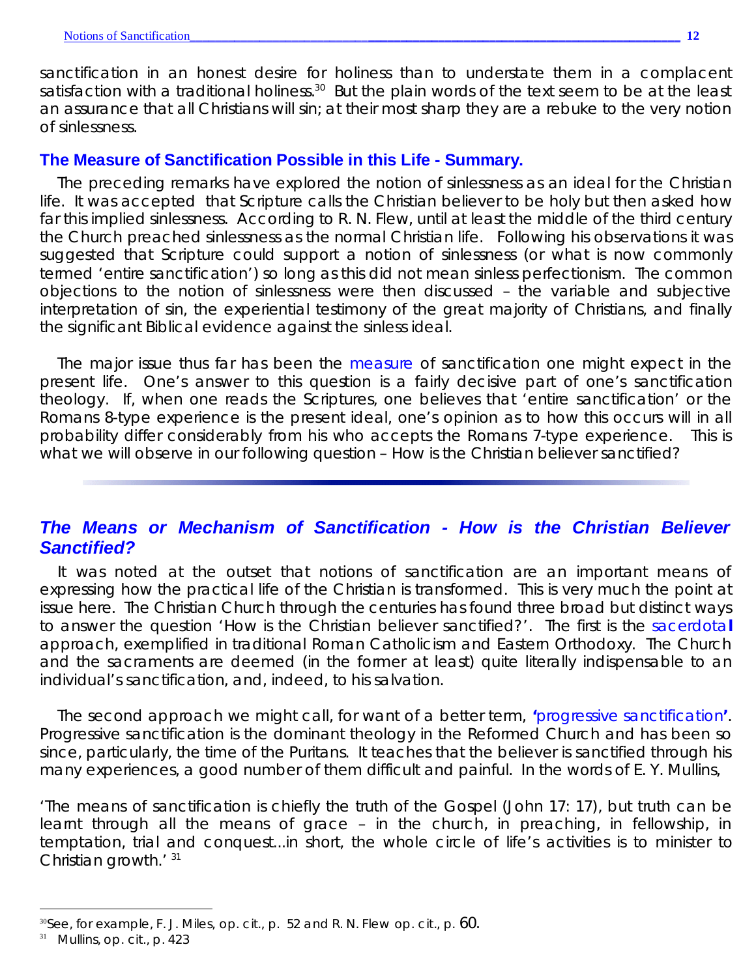sanctification in an honest desire for holiness than to understate them in a complacent satisfaction with a traditional holiness.<sup>30</sup> But the plain words of the text seem to be at the least an assurance that all Christians will sin; at their most sharp they are a rebuke to the very notion of sinlessness.

#### **The Measure of Sanctification Possible in this Life - Summary.**

The preceding remarks have explored the notion of sinlessness as an ideal for the Christian life. It was accepted that Scripture calls the Christian believer to be holy but then asked how far this implied sinlessness. According to R. N. Flew, until at least the middle of the third century the Church preached sinlessness as the normal Christian life. Following his observations it was suggested that Scripture *could* support a notion of sinlessness (or what is now commonly termed 'entire sanctification') so long as this did not mean sinless perfectionism. The common objections to the notion of sinlessness were then discussed – the variable and subjective interpretation of sin, the experiential testimony of the great majority of Christians, and finally the significant Biblical evidence against the sinless ideal.

The major issue thus far has been the *measure* of sanctification one might expect in the present life. One's answer to this question is a fairly decisive part of one's sanctification theology. If, when one reads the Scriptures, one believes that 'entire sanctification' or the Romans 8-type experience is the present ideal, one's opinion as to how this occurs will in all probability differ considerably from his who accepts the Romans 7-type experience. This is what we will observe in our following question - How is the Christian believer sanctified?

## *The Means or Mechanism of Sanctification - How is the Christian Believer Sanctified?*

It was noted at the outset that notions of sanctification are an important means of expressing how the practical life of the Christian is transformed. This is very much the point at issue here. The Christian Church through the centuries has found three broad but distinct ways to answer the question 'How is the Christian believer sanctified?'. The first is the *sacerdota***l** approach, exemplified in traditional Roman Catholicism and Eastern Orthodoxy. The Church and the sacraments are deemed (in the former at least) quite literally indispensable to an individual's sanctification, and, indeed, to his salvation.

The second approach we might call, for want of a better term, **'***progressive sanctification***'**. Progressive sanctification is the dominant theology in the Reformed Church and has been so since, particularly, the time of the Puritans. It teaches that the believer is sanctified through his many experiences, a good number of them difficult and painful. In the words of E. Y. Mullins,

'The means of sanctification is chiefly the truth of the Gospel (John 17: 17), but truth can be learnt through all the means of grace – in the church, in preaching, in fellowship, in temptation, trial and conquest...in short, the whole circle of life's activities is to minister to Christian growth.' <sup>31</sup>

<sup>30</sup>See, for example, F. J. Miles, *op. cit*., p. 52 and R. N. Flew *op. cit*., p. 60.

<sup>31</sup> Mullins, *op. cit*., p. 423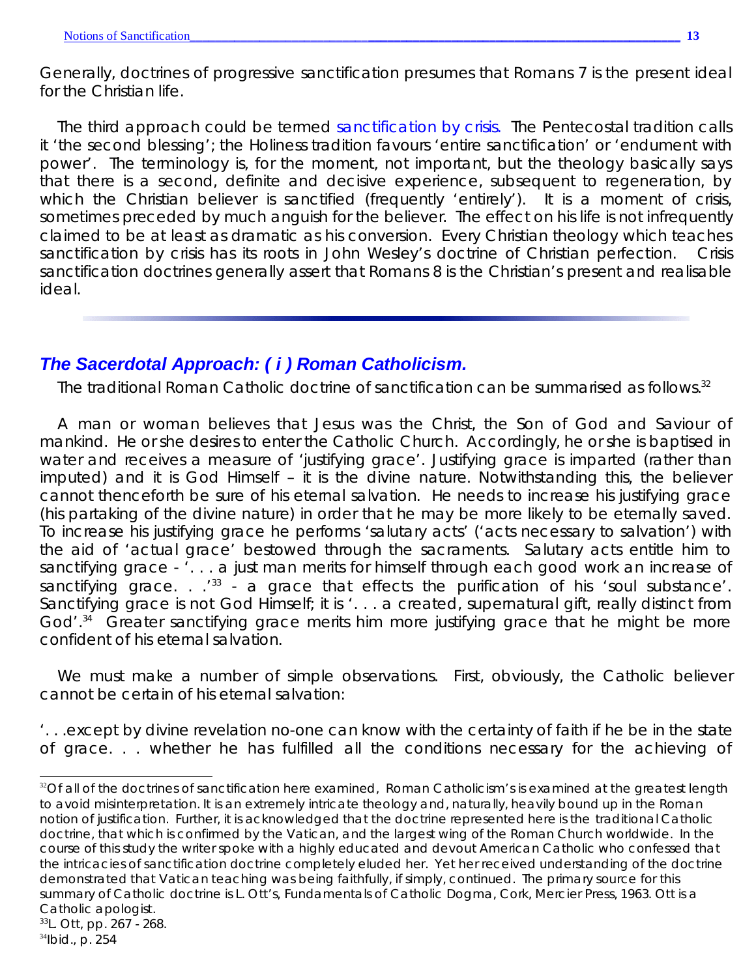Generally, doctrines of progressive sanctification presumes that Romans 7 is the present ideal for the Christian life.

The third approach could be termed *sanctification by crisis*. The Pentecostal tradition calls it 'the second blessing'; the Holiness tradition favours 'entire sanctification' or 'endument with power'. The terminology is, for the moment, not important, but the theology basically says that there is a second, definite and decisive experience, subsequent to regeneration, by which the Christian believer is sanctified (frequently 'entirely'). It is a moment of crisis, sometimes preceded by much anguish for the believer. The effect on his life is not infrequently claimed to be at least as dramatic as his conversion. Every Christian theology which teaches sanctification by crisis has its roots in John Wesley's doctrine of Christian perfection. Crisis sanctification doctrines generally assert that Romans 8 is the Christian's present and realisable ideal.

## *The Sacerdotal Approach: ( i ) Roman Catholicism.*

The traditional Roman Catholic doctrine of sanctification can be summarised as follows. $32$ 

A man or woman believes that Jesus was the Christ, the Son of God and Saviour of mankind. He or she desires to enter the Catholic Church. Accordingly, he or she is baptised in water and receives a measure of 'justifying grace'. Justifying grace is imparted (rather than imputed) and it is God Himself – it is the divine nature. Notwithstanding this, the believer cannot thenceforth be sure of his eternal salvation. He needs to increase his justifying grace (his partaking of the divine nature) in order that he may be more likely to be eternally saved. To increase his justifying grace he performs 'salutary acts' ('acts necessary to salvation') with the aid of 'actual grace' bestowed through the sacraments. Salutary acts entitle him to sanctifying grace - '. . . a just man merits for himself through each good work an increase of sanctifying grace.  $\cdot$   $\cdot$ <sup>33</sup> - a grace that effects the purification of his 'soul substance'. Sanctifying grace is *not* God Himself; it is '... a created, supernatural gift, really distinct from God'.<sup>34</sup> Greater sanctifying grace merits him more justifying grace that he might be more confident of his eternal salvation.

We must make a number of simple observations. First, obviously, the Catholic believer cannot be certain of his eternal salvation:

'. . .except by divine revelation no-one can know with the certainty of faith if he be in the state of grace... whether he has fulfilled all the conditions necessary for the achieving of

<sup>&</sup>lt;sup>32</sup>Of all of the doctrines of sanctification here examined, Roman Catholicism's is examined at the greatest length to avoid misinterpretation. It is an extremely intricate theology and, naturally, heavily bound up in the Roman notion of justification. Further, it is acknowledged that the doctrine represented here is the *traditional* Catholic doctrine, that which is confirmed by the Vatican, and the largest wing of the Roman Church worldwide. In the course of this study the writer spoke with a highly educated and devout American Catholic who confessed that the intricacies of sanctification doctrine completely eluded her. Yet her received understanding of the doctrine demonstrated that Vatican teaching was being faithfully, if simply, continued. The primary source for this summary of Catholic doctrine is L. Ott's, *Fundamentals of Catholic Dogma*, Cork, Mercier Press, 1963. Ott is a Catholic apologist. <sup>33</sup>L. Ott, pp. 267 - 268.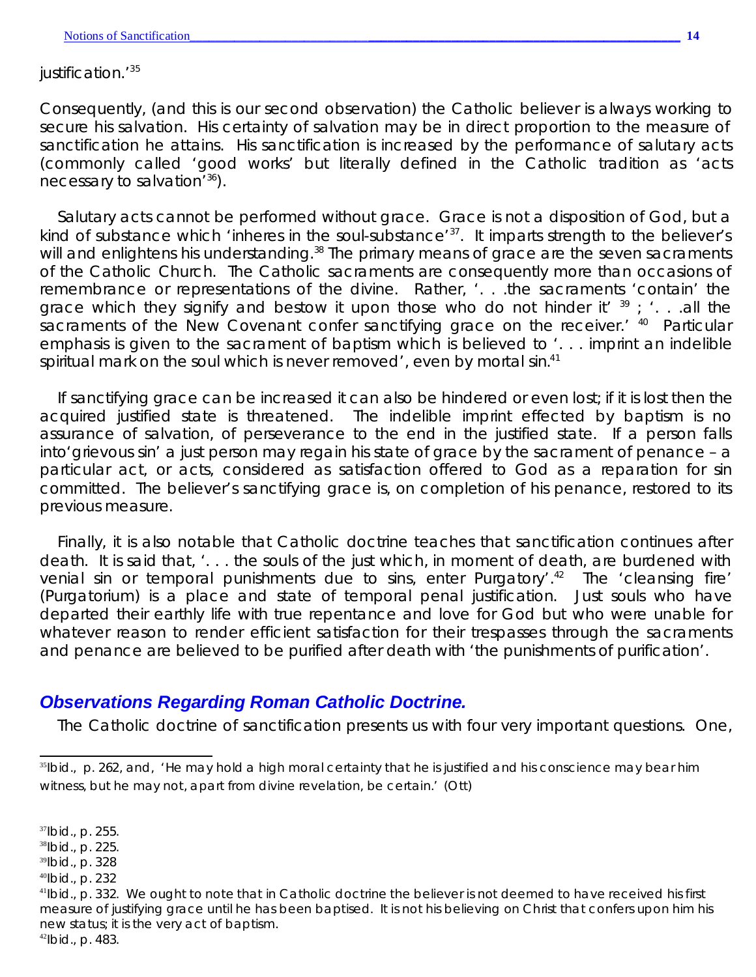justification.<sup>135</sup>

Consequently, (and this is our second observation) the Catholic believer is always working to secure his salvation. *His certainty of salvation may be in direct proportion to the measure of sanctification he attains*. His sanctification is increased by the performance of salutary acts (commonly called 'good works' but literally defined in the Catholic tradition as 'acts necessary to salvation<sup>'36</sup>).

Salutary acts cannot be performed without grace. Grace is not a disposition of God, but a kind of substance which 'inheres in the soul-substance'<sup>37</sup>. It imparts strength to the believer's will and enlightens his understanding.<sup>38</sup> The primary means of grace are the seven sacraments of the Catholic Church. The Catholic sacraments are consequently more than occasions of remembrance or representations of the divine. Rather, '... the sacraments 'contain' the grace which they signify and bestow it upon those who do not hinder it'  $39$ ; '...all the sacraments of the New Covenant confer sanctifying grace on the receiver.' 40 Particular emphasis is given to the sacrament of baptism which is believed to '... imprint an indelible spiritual mark on the soul which is never removed', even by mortal sin.<sup>41</sup>

If sanctifying grace can be increased it can also be hindered or even lost; if it is lost then the acquired justified state is threatened. The indelible imprint effected by baptism is no assurance of salvation, of perseverance to the end in the justified state. If a person falls into'grievous sin' a just person may regain his state of grace by the sacrament of penance–a particular act, or acts, considered as satisfaction offered to God as a reparation for sin committed. The believer's sanctifying grace is, on completion of his penance, restored to its previous measure.

Finally, it is also notable that Catholic doctrine teaches that sanctification continues after death. It is said that, '... the souls of the just which, in moment of death, are burdened with venial sin or temporal punishments due to sins, enter Purgatory'.<sup>42</sup> The 'cleansing fire' (*Purgatorium*) is a place and state of temporal penal justification. Just souls who have departed their earthly life with true repentance and love for God but who were unable for whatever reason to render efficient satisfaction for their trespasses through the sacraments and penance are believed to be purified after death with 'the punishments of purification'.

## *Observations Regarding Roman Catholic Doctrine.*

The Catholic doctrine of sanctification presents us with four very important questions. One,

<sup>37</sup>*Ibid*., p. 255.

<sup>38</sup>*Ibid*., p. 225.

<sup>39</sup>*Ibid*., p. 328

<sup>40</sup>*Ibid*., p. 232

<sup>&</sup>lt;sup>35</sup>Ibid., p. 262, and, 'He may hold a high moral certainty that he is justified and his conscience may bear him witness, but he may not, apart from divine revelation, be certain.' (Ott)

<sup>41</sup>*Ibid*., p. 332. We ought to note that in Catholic doctrine the believer is not deemed to have received his first measure of justifying grace until he has been baptised. It is not his believing on Christ that confers upon him his new status; it is the very act of baptism.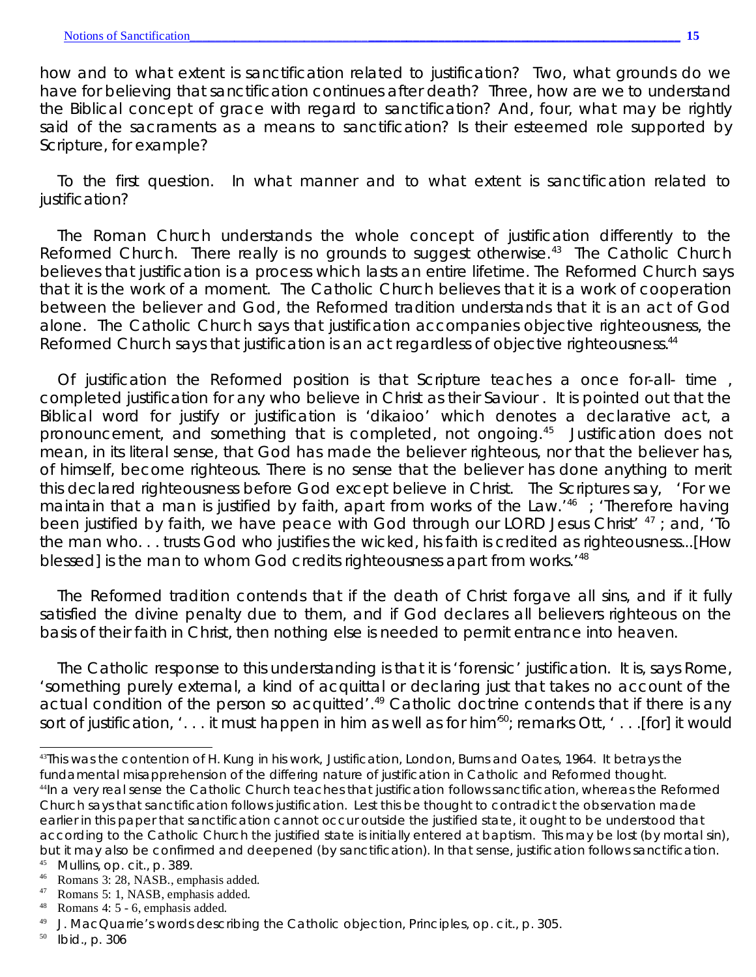how and to what extent is sanctification related to justification? Two, what grounds do we have for believing that sanctification continues after death? Three, how are we to understand the Biblical concept of grace with regard to sanctification? And, four, what may be rightly said of the sacraments as a means to sanctification? Is their esteemed role supported by Scripture, for example?

To the first question. In what manner and to what extent is sanctification related to justification?

The Roman Church understands the whole concept of justification differently to the Reformed Church. There really is no grounds to suggest otherwise.<sup>43</sup> The Catholic Church believes that justification is a process which lasts an entire lifetime. The Reformed Church says that it is the work of a moment. The Catholic Church believes that it is a work of cooperation between the believer and God, the Reformed tradition understands that it is an act of God alone. The Catholic Church says that justification accompanies *objective righteousness*, the Reformed Church says that justification is an act regardless of objective righteousness.<sup>44</sup>

Of justification the Reformed position is that Scripture teaches a once for-all- time , completed justification for any who believe in Christ as their Saviour . It is pointed out that the Biblical word for justify or justification is '*dikaioo*' which denotes a declarative act, a pronouncement, and something that is completed, not ongoing.<sup>45</sup> Justification does not mean, in its literal sense, that God has *made* the believer righteous, nor that the believer has, of himself, become righteous. There is no sense that the believer has done anything to merit this declared righteousness before God except believe in Christ. The Scriptures say, 'For we maintain that a man is justified by faith, *apart from works of the Law*.'<sup>46</sup> ; 'Therefore *having been* justified *by faith*, we have peace with God through our LORD Jesus Christ' <sup>47</sup> ; and, 'To the man who. . . trusts *God who justifies* the wicked, his faith is credited as righteousness...[How blessed] is the man to whom God credits righteousness *apart from works*.'<sup>48</sup>

The Reformed tradition contends that if the death of Christ forgave all sins, and if it fully satisfied the divine penalty due to them, and if God declares all believers righteous on the basis of their faith in Christ, then nothing else is needed to permit entrance into heaven.

The Catholic response to this understanding is that it is 'forensic' justification. It is, says Rome, 'something purely external, a kind of acquittal or declaring just that takes no account of the actual condition of the person so acquitted'.<sup>49</sup> Catholic doctrine contends that if there is any sort of justification, '... it must happen in him as well as for him<sup>50</sup>; remarks Ott, '... [for] it would

<sup>43</sup>This was the contention of H. Kung in his work, *Justification*, London, Burns and Oates, 1964. It betrays the fundamental misapprehension of the differing nature of justification in Catholic and Reformed thought. <sup>44</sup>In a very real sense the Catholic Church teaches that justification *follows* sanctification, whereas the Reformed Church says that sanctification follows justification. Lest this be thought to contradict the observation made earlier in this paper that sanctification cannot occur outside the justified state, it ought to be understood that according to the Catholic Church the justified state is initially entered at baptism. This may be lost (by mortal sin), but it may also be confirmed and deepened (by sanctification). In that sense, justification follows sanctification.

<sup>45</sup> Mullins, *op. cit*., p. 389.

<sup>&</sup>lt;sup>46</sup> Romans 3: 28, NASB., emphasis added.<br><sup>47</sup> Romans 5: 1 NASB emphasis added.

Romans 5: 1, NASB, emphasis added.

<sup>48</sup> Romans 4: 5 - 6, emphasis added.

<sup>49</sup> J. MacQuarrie's words describing the Catholic objection, *Principles, op. cit*., p. 305*.*

<sup>50</sup> *Ibid*., p. 306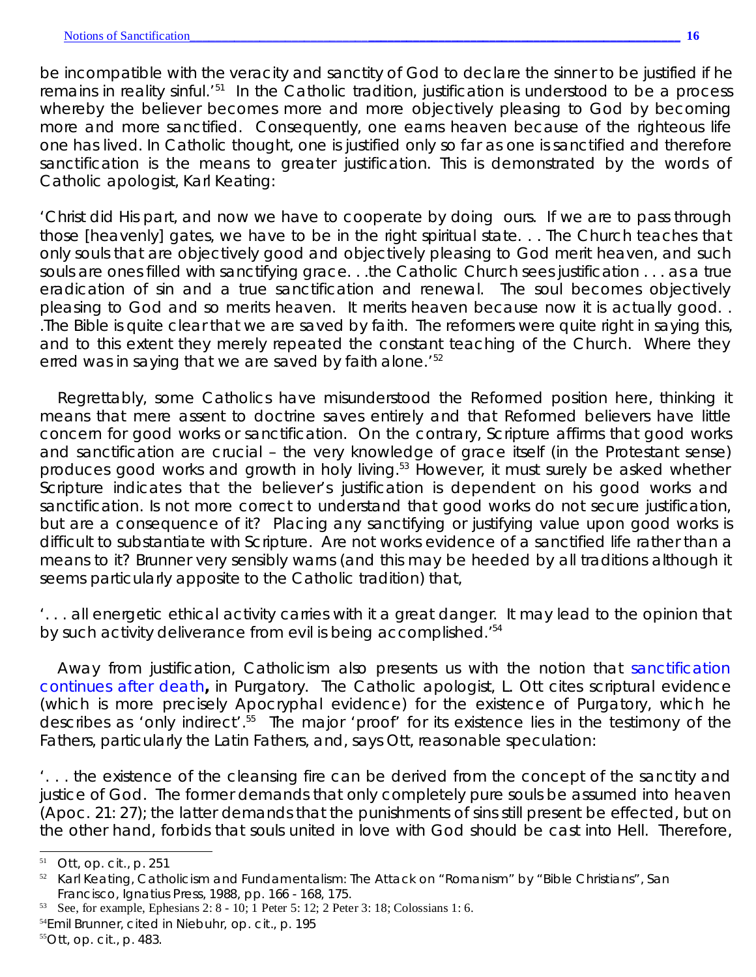be incompatible with the veracity and sanctity of God to declare the sinner to be justified if he remains in reality sinful.<sup>'51</sup> In the Catholic tradition, justification is understood to be a process whereby the believer becomes more and more *objectively pleasing* to God by becoming more and more sanctified. Consequently, one *earns* heaven because of the righteous life one has lived. In Catholic thought, *one is justified only so far as one is sanctified* and therefore *sanctification is the means to greater justification.* This is demonstrated by the words of Catholic apologist, Karl Keating:

'Christ did His part, and now we have to cooperate by doing ours. If we are to pass through those [heavenly] gates, we have to be in the right spiritual state. . . The Church teaches that only souls that are *objectively good* and *objectively pleasing* to God *merit* heaven, and such souls are ones filled with sanctifying grace. . .the Catholic Church sees justification ... as a true eradication of sin and a true sanctification and renewal. The soul becomes *objectively pleasing* to God and so *merits* heaven. It merits heaven because now it is *actually good*. . .The Bible is quite clear that we are saved by faith. The reformers were quite right in saying this, and to this extent they merely repeated the constant teaching of the Church. Where they erred was in saying that we are saved by faith *alone*.'<sup>52</sup>

Regrettably, some Catholics have misunderstood the Reformed position here, thinking it means that mere assent to doctrine saves entirely and that Reformed believers have little concern for good works or sanctification. On the contrary, Scripture affirms that good works and sanctification are crucial – the very knowledge of grace itself (in the Protestant sense) produces good works and growth in holy living.<sup>53</sup> However, it must surely be asked *whether Scripture indicates that the believer's justification is dependent on his good works and sanctification*. Is not more correct to understand that good works do not secure justification, but are a consequence of it? Placing any sanctifying *or* justifying value upon good works is difficult to substantiate with Scripture. Are not works *evidence* of a sanctified life rather than a *means* to it? Brunner very sensibly warns (and this may be heeded by all traditions although it seems particularly apposite to the Catholic tradition) that,

'. . . all energetic ethical activity carries with it a great danger. It may lead to the opinion that by such activity deliverance from evil is being accomplished.<sup>'54</sup>

Away from justification, Catholicism also presents us with the notion that *sanctification continues after death***,** in Purgatory. The Catholic apologist, L. Ott cites scriptural evidence (which is more precisely *Apocryphal* evidence) for the existence of Purgatory, which he describes as 'only indirect'.<sup>55</sup> The *major* 'proof' for its existence lies in the testimony of the Fathers, particularly the Latin Fathers, and, says Ott, reasonable speculation:

'... the existence of the cleansing fire can be derived from the concept of the sanctity and justice of God. The former demands that only completely pure souls be assumed into heaven (Apoc. 21: 27); the latter demands that the punishments of sins still present be effected, but on the other hand, forbids that souls united in love with God should be cast into Hell. Therefore,

- <sup>54</sup>Emil Brunner, cited in Niebuhr, *op. cit*., p. 195
- <sup>55</sup>Ott, *op. cit*., p. 483.

<sup>51</sup> Ott, *op. cit.*, p. 251

<sup>52</sup> Karl Keating, *Catholicism and Fundamentalism*: *The Attack on "Romanism" by "Bible Christians"*, San Francisco, Ignatius Press, 1988*,* pp. 166 - 168, 175.

<sup>53</sup> See, for example, Ephesians 2: 8 - 10; 1 Peter 5: 12; 2 Peter 3: 18; Colossians 1: 6.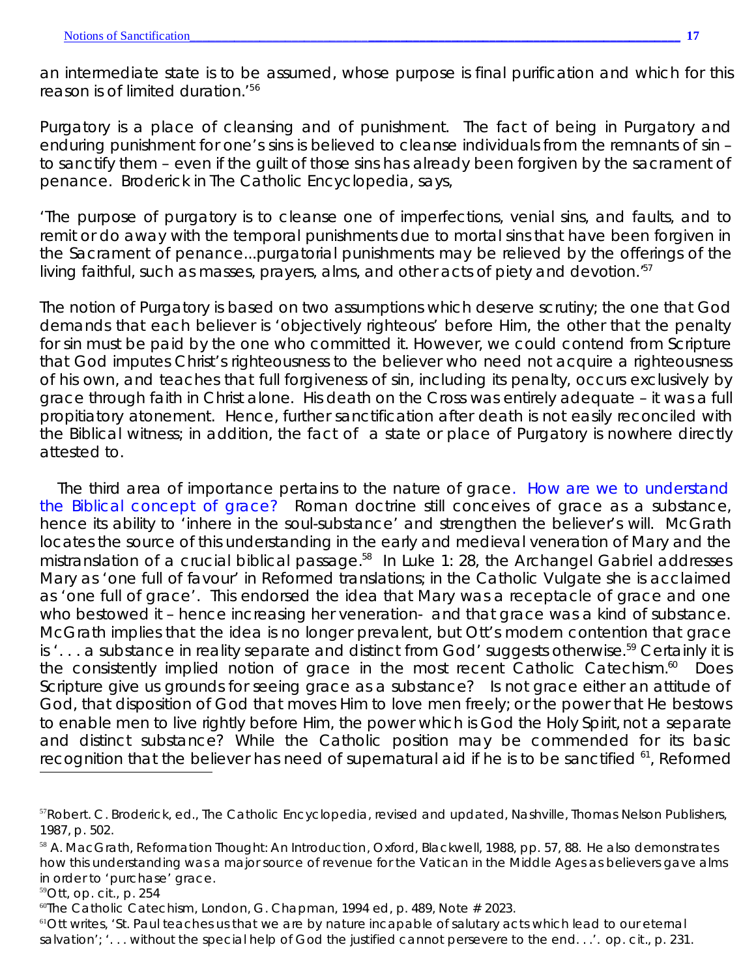an intermediate state is to be assumed, whose purpose is final purification and which for this reason is of limited duration.'<sup>56</sup>

Purgatory is a place of cleansing and of punishment. The fact of being in Purgatory and enduring punishment for one's sins is believed to cleanse individuals from the remnants of sin – to sanctify them – even if the guilt of those sins has already been forgiven by the sacrament of penance. Broderick in *The Catholic Encyclopedia*, says,

'The purpose of purgatory is to cleanse one of imperfections, venial sins, and faults, and to remit or do away with the temporal punishments due to mortal sins that have been forgiven in the Sacrament of penance...purgatorial punishments may be relieved by the offerings of the living faithful, such as masses, prayers, alms, and other acts of piety and devotion.<sup>57</sup>

The notion of Purgatory is based on two assumptions which deserve scrutiny; the one that God demands that each believer is 'objectively righteous' before Him, the other that the penalty for sin must be paid by the one who committed it. However, we could contend from Scripture that God imputes Christ's righteousness to the believer who need not acquire a righteousness of his own, *and* teaches that *full* forgiveness of sin, *including* its penalty, occurs exclusively by grace through faith in Christ alone. His death on the Cross was entirely adequate – it was a full propitiatory atonement. Hence, further sanctification after death is not easily reconciled with the Biblical witness; in addition, the fact of a state or place of Purgatory is nowhere directly attested to.

The third area of importance pertains to the nature of grace. *How are we to understand the Biblical concept of grace?* Roman doctrine still conceives of grace as a substance, hence its ability to 'inhere in the soul-substance' and strengthen the believer's will. McGrath locates the source of this understanding in the early and medieval veneration of Mary and the mistranslation of a crucial biblical passage.<sup>58</sup> In Luke 1: 28, the Archangel Gabriel addresses Mary as 'one full of favour' in Reformed translations; in the Catholic Vulgate she is acclaimed as 'one full of grace'. This endorsed the idea that Mary was a receptacle of grace and one who bestowed it – hence increasing her veneration- and that grace was a kind of substance. McGrath implies that the idea is no longer prevalent, but Ott's modern contention that grace is '... a substance in reality separate and distinct from God' suggests otherwise.<sup>59</sup> Certainly it is the consistently implied notion of grace in the most recent Catholic Catechism.<sup>60</sup> Does Scripture give us grounds for seeing grace as a substance? Is not grace either an attitude of God, that disposition of God that moves Him to love men freely; or the power that He bestows to enable men to live rightly before Him, the power which is God the Holy Spirit, *not* a separate and distinct substance? While the Catholic position may be commended for its basic recognition that the believer has need of supernatural aid if he is to be sanctified <sup>61</sup>, Reformed

<sup>59</sup>Ott*, op. cit.,* p. 254

 $61$ Ott writes, 'St. Paul teaches us that we are by nature incapable of salutary acts which lead to our eternal salvation'; '. . . without the special help of God the justified cannot persevere to the end. . .'. *op. cit*., p. 231.

<sup>57</sup>Robert. C. Broderick, ed., *The Catholic Encyclopedia*, revised and updated, Nashville, Thomas Nelson Publishers, 1987, p. 502.

<sup>58</sup> A. MacGrath, *Reformation Thought: An Introduction*, Oxford, Blackwell, 1988, pp. 57, 88. He also demonstrates how this understanding was a major source of revenue for the Vatican in the Middle Ages as believers gave alms in order to 'purchase' grace.

<sup>60</sup>*The Catholic Catechism*, London, G. Chapman, 1994 ed, p. 489, Note # 2023.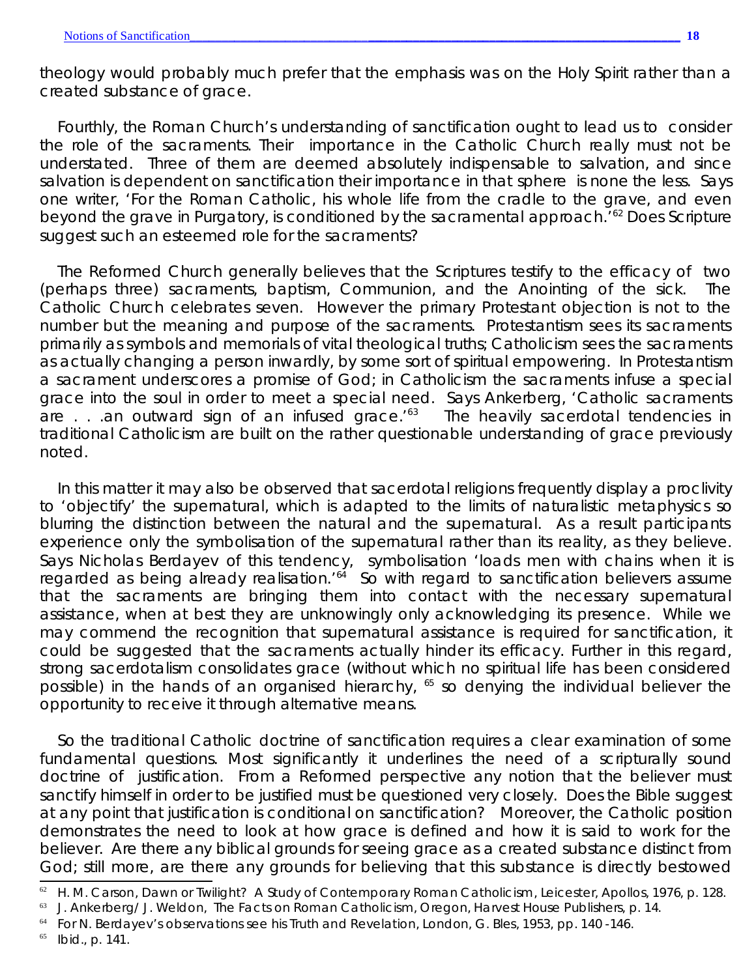theology would probably much prefer that the emphasis was on the Holy Spirit rather than a created substance of grace.

Fourthly, the Roman Church's understanding of sanctification ought to lead us to consider the role of the sacraments. Their importance in the Catholic Church really must not be understated. Three of them are deemed absolutely indispensable to salvation, and since salvation is dependent on sanctification their importance in *that* sphere is none the less. Says one writer, 'For the Roman Catholic, his whole life from the cradle to the grave, and even beyond the grave in Purgatory, is conditioned by the sacramental approach.<sup>162</sup> Does Scripture suggest such an esteemed role for the sacraments?

The Reformed Church generally believes that the Scriptures testify to the efficacy of two (perhaps three) sacraments, baptism, Communion, and the Anointing of the sick. The Catholic Church celebrates seven. However the primary Protestant objection is not to the number but the meaning and purpose of the sacraments. Protestantism sees its sacraments primarily as symbols and memorials of vital theological truths; Catholicism sees the sacraments as actually changing a person inwardly, by some sort of spiritual empowering. In Protestantism a sacrament underscores a promise of God; in Catholicism the sacraments infuse a special grace into the soul in order to meet a special need. Says Ankerberg, 'Catholic sacraments are  $\ldots$  an outward sign of an infused grace.<sup> $63$ </sup> The heavily sacerdotal tendencies in traditional Catholicism are built on the rather questionable understanding of grace previously noted.

In this matter it may also be observed that sacerdotal religions frequently display a proclivity to 'objectify' the supernatural, which is adapted to the limits of naturalistic metaphysics so blurring the distinction between the natural and the supernatural. As a result participants experience only the *symbolisation* of the supernatural rather than its *reality*, as they believe. Says Nicholas Berdayev of this tendency, symbolisation 'loads men with chains when it is regarded as being already realisation.<sup>'64</sup> So with regard to sanctification believers assume that the sacraments are bringing them into contact with the necessary supernatural assistance, when at best they are unknowingly only acknowledging its presence. While we may commend the recognition that supernatural assistance is required for sanctification, it could be suggested that the sacraments actually hinder its efficacy. Further in this regard, strong sacerdotalism consolidates grace (without which no spiritual life has been considered possible) in the hands of an organised hierarchy, <sup>65</sup> so denying the individual believer the opportunity to receive it through alternative means.

So the traditional Catholic doctrine of sanctification requires a clear examination of some fundamental questions. Most significantly it underlines the need of a scripturally sound doctrine of justification. From a Reformed perspective any notion that the believer must sanctify himself in order to be justified must be questioned very closely. Does the Bible suggest at any point that justification is conditional on sanctification? Moreover, the Catholic position demonstrates the need to look at how grace is defined and how it is said to work for the believer. Are there any biblical grounds for seeing grace as a created substance distinct from God; still more, are there any grounds for believing that this substance is directly bestowed

<sup>62</sup> H. M. Carson, *Dawn or Twilight? A Study of Contemporary Roman Catholicism*, Leicester, Apollos, 1976, p. 128.

<sup>63</sup> J. Ankerberg/ J. Weldon, *The Facts on Roman Catholicism*, Oregon, Harvest House Publishers, p. 14.

<sup>64</sup> For N. Berdayev's observations see his *Truth and Revelation*, London, G. Bles, 1953, pp. 140 -146.

<sup>65</sup> *Ibid*., p. 141.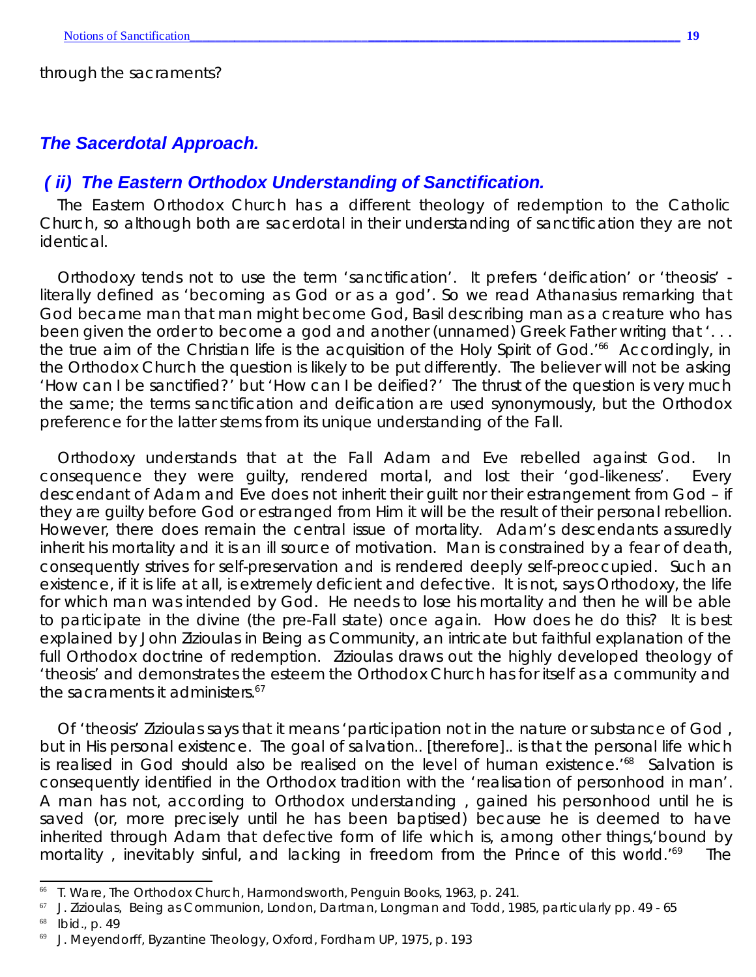through the sacraments?

## *The Sacerdotal Approach.*

#### *( ii) The Eastern Orthodox Understanding of Sanctification.*

The Eastern Orthodox Church has a different theology of redemption to the Catholic Church, so although both are sacerdotal in their understanding of sanctification they are not identical.

Orthodoxy tends not to use the term 'sanctification'. It prefers 'deification' or '*theosis'* literally defined as 'becoming as God or as a god'. So we read Athanasius remarking that God became man that man might become God, Basil describing man as a creature who has been given the order to become a god and another (unnamed) Greek Father writing that '... the true aim of the Christian life is the acquisition of the Holy Spirit of God.<sup>'66</sup> Accordingly, in the Orthodox Church the question is likely to be put differently. The believer will not be asking 'How can I be sanctified?' but 'How can I be deified?' The thrust of the question is very much the same; the terms sanctification and deification *are* used synonymously, but the Orthodox preference for the latter stems from its unique understanding of the Fall.

Orthodoxy understands that at the Fall Adam and Eve rebelled against God. In consequence they were guilty, rendered mortal, and lost their 'god-likeness'. Every descendant of Adam and Eve does *not* inherit their guilt *nor* their estrangement from God – if they are guilty before God or estranged from Him it will be the result of their personal rebellion. However, there does remain the central issue of mortality. Adam's descendants assuredly inherit his mortality and it is an ill source of motivation. Man is constrained by a fear of death, consequently strives for self-preservation and is rendered deeply self-preoccupied. Such an existence, if it is life at all, is extremely deficient and defective. It is not, says Orthodoxy, the life for which man was intended by God. He needs to lose his mortality and then he will be able to participate in the divine (the pre-Fall state) once again. How does he do this? It is best explained by John Zizioulas in *Being as Community*, an intricate but faithful explanation of the full Orthodox doctrine of redemption. Zizioulas draws out the highly developed theology of '*theosis'* and demonstrates the esteem the Orthodox Church has for itself as a community and the sacraments it administers.<sup>67</sup>

Of *'theosis'* Zizioulas says that it means 'participation not in the nature or substance of God , but in His personal existence. The goal of salvation.. [therefore].. is that the personal life which is realised in God should also be realised on the level of human existence.<sup>'68</sup> Salvation is consequently identified in the Orthodox tradition with the 'realisation of personhood in man'. A man has not, according to Orthodox understanding , gained his personhood until he is saved (or, more precisely until he has been baptised) because he is deemed to have inherited through Adam that defective form of life which is, among other things,'bound by mortality, inevitably sinful, and lacking in freedom from the Prince of this world.<sup>169</sup> The

<sup>68</sup> *Ibid*., p. 49

<sup>66</sup> T. Ware, *The Orthodox Church*, Harmondsworth, Penguin Books, 1963, p. 241.

<sup>67</sup> J. Zizioulas, *Being as Communion*, London, Dartman, Longman and Todd, 1985, particularly pp. 49 - 65

<sup>69</sup> J. Meyendorff, *Byzantine Theology*, Oxford, Fordham UP, 1975, p. 193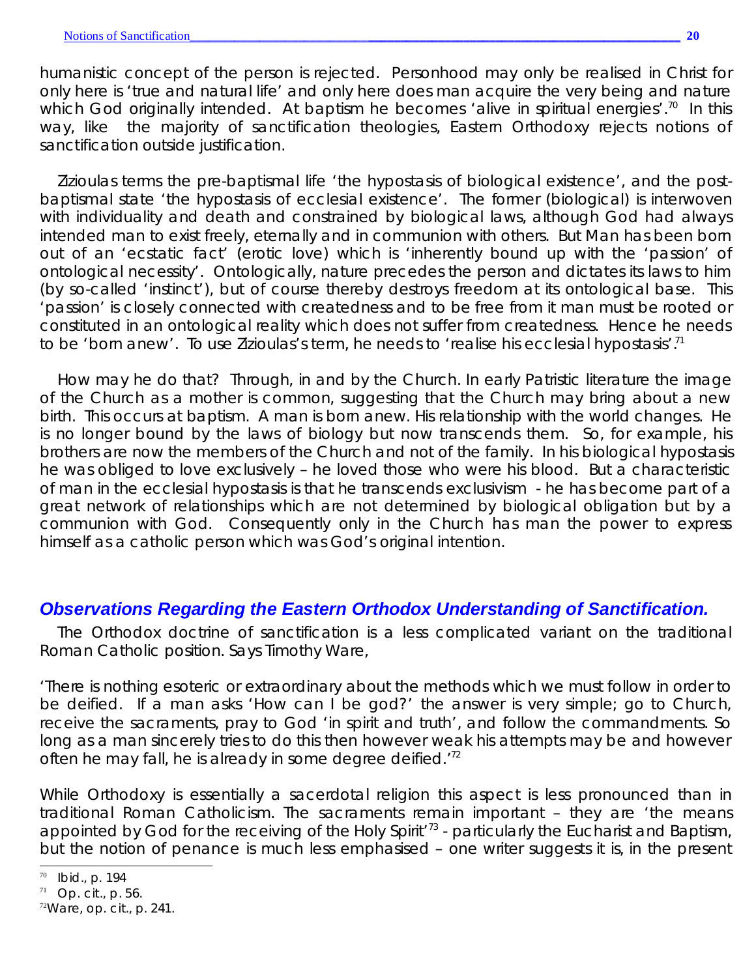humanistic concept of the person is rejected. Personhood may only be realised in Christ for only here is 'true and natural life' and only here does man acquire the very being and nature which God originally intended. At baptism he becomes 'alive in spiritual energies'.<sup>70</sup> In this way, like the majority of sanctification theologies, Eastern Orthodoxy rejects notions of sanctification outside justification.

Zizioulas terms the pre-baptismal life 'the hypostasis of biological existence', and the postbaptismal state 'the hypostasis of ecclesial existence'. The former (biological) is interwoven with individuality and death and constrained by biological laws, although God had always intended man to exist freely, eternally and in communion with others. But Man has been born out of an 'ecstatic fact' (erotic love) which is 'inherently bound up with the 'passion' of ontological necessity'. Ontologically, nature precedes the person and dictates its laws to him (by so-called 'instinct'), but of course thereby destroys freedom at its ontological base. This 'passion' is closely connected with createdness and to be free from it man must be rooted or constituted in an ontological reality which does not suffer from createdness. Hence he needs to be 'born anew'. To use Zizioulas's term, he needs to 'realise his ecclesial hypostasis'.<sup>71</sup>

How may he do that? Through, in and by the Church. In early Patristic literature the image of the Church as a mother is common, suggesting that the Church may bring about a new birth. This occurs at baptism. A man is born anew. His relationship with the world changes. He is no longer bound by the laws of biology but now transcends them. So, for example, his brothers are now the members of the Church and not of the family. In his biological hypostasis he was obliged to love exclusively – he loved those who were his blood. But a characteristic of man in the ecclesial hypostasis is that he transcends exclusivism - he has become part of a great network of relationships which are not determined by biological obligation but by a communion with God. Consequently only in the Church has man the power to express himself as a catholic person which was God's original intention.

## *Observations Regarding the Eastern Orthodox Understanding of Sanctification.*

The Orthodox doctrine of sanctification is a less complicated variant on the traditional Roman Catholic position. Says Timothy Ware,

'There is nothing esoteric or extraordinary about the methods which we must follow in order to be deified. If a man asks 'How can I be god?' the answer is very simple; go to Church, receive the sacraments, pray to God 'in spirit and truth', and follow the commandments. So long as a man sincerely tries to do this then however weak his attempts may be and however often he may fall, he is already in some degree deified.<sup>72</sup>

While Orthodoxy is essentially a sacerdotal religion this aspect is less pronounced than in traditional Roman Catholicism. The sacraments remain important – they are 'the means appointed by God for the receiving of the Holy Spirit<sup>'73</sup> - particularly the Eucharist and Baptism, but the notion of penance is much less emphasised – one writer suggests it is, in the present

<sup>70</sup> *Ibid*., p. 194

<sup>71</sup> *Op. cit*.*,* p. 56.

<sup>72</sup>Ware, *op. cit*., p. 241.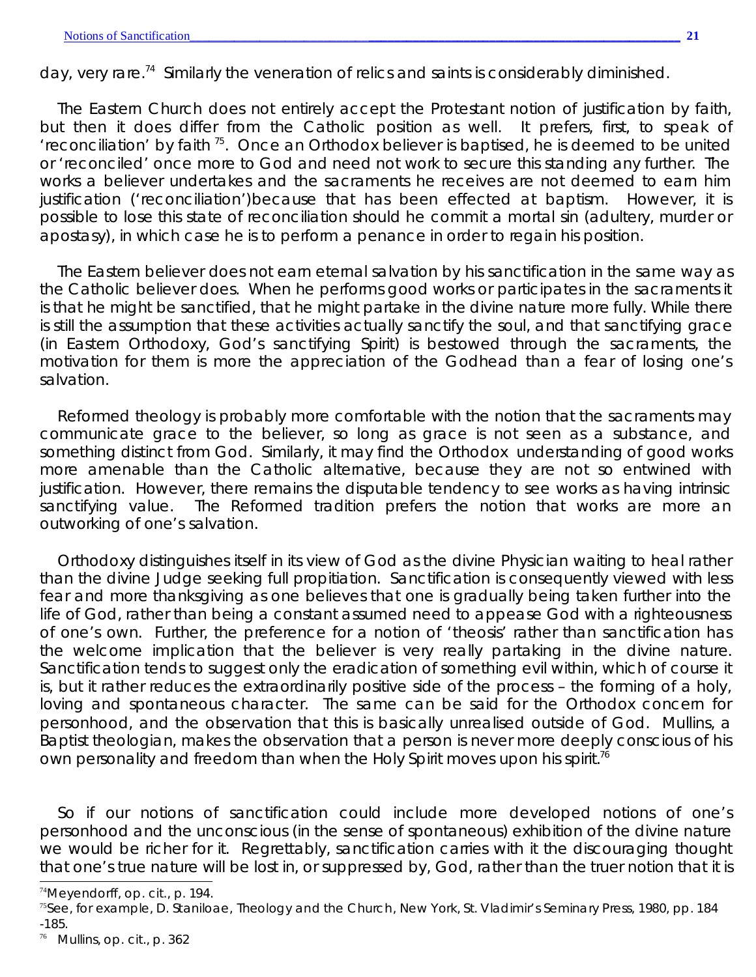day, very rare.<sup>74</sup> Similarly the veneration of relics and saints is considerably diminished.

The Eastern Church does not entirely accept the Protestant notion of justification by faith, but then it does differ from the Catholic position as well. It prefers, first, to speak of 'reconciliation' by faith  $75$ . Once an Orthodox believer is baptised, he is deemed to be united or 'reconciled' once more to God and need not work to secure this standing any further. The works a believer undertakes and the sacraments he receives are not deemed to earn him justification ('reconciliation')because that has been effected at baptism. However, it is possible to lose this state of reconciliation should he commit a mortal sin (adultery, murder or apostasy), in which case he is to perform a penance in order to regain his position.

The Eastern believer does not earn eternal salvation by his sanctification in the same way as the Catholic believer does. When he performs good works or participates in the sacraments it is that he might be sanctified, that he might partake in the divine nature more fully. While there is still the assumption that these activities actually sanctify the soul, and that sanctifying grace (in Eastern Orthodoxy, God's sanctifying Spirit) is bestowed through the sacraments, the motivation for them is more the appreciation of the Godhead than a fear of losing one's salvation.

Reformed theology is probably more comfortable with the notion that the sacraments may communicate grace to the believer, so long as grace is not seen as a substance, and something distinct from God. Similarly, it may find the Orthodox understanding of good works more amenable than the Catholic alternative, because they are not so entwined with justification. However, there remains the disputable tendency to see works as having intrinsic sanctifying value. The Reformed tradition prefers the notion that works are more an outworking of one's salvation.

Orthodoxy distinguishes itself in its view of God as the divine Physician waiting to heal rather than the divine Judge seeking full propitiation. Sanctification is consequently viewed with less fear and more thanksgiving as one believes that one is gradually being taken further into the life of God, rather than being a constant assumed need to appease God with a righteousness of one's own. Further, the preference for a notion of '*theosis*' rather than sanctification has the welcome implication that the believer is very really partaking in the divine nature. Sanctification tends to suggest only the eradication of something evil within, which of course it is, but it rather reduces the extraordinarily positive side of the process – the forming of a holy, loving and spontaneous character. The same can be said for the Orthodox concern for personhood, and the observation that this is basically unrealised outside of God. Mullins, a Baptist theologian, makes the observation that a person is never more deeply conscious of his own personality and freedom than when the Holy Spirit moves upon his spirit.<sup>76</sup>

So if our notions of sanctification could include more developed notions of one's personhood and the unconscious (in the sense of spontaneous) exhibition of the divine nature we would be richer for it. Regrettably, sanctification carries with it the discouraging thought that one's true nature will be lost in, or suppressed by, God, rather than the truer notion that it is

<sup>74</sup>Meyendorff, *op. cit.*, p. 194.

<sup>75</sup>See, for example, D. Staniloae, *Theology and the Church*, New York, St. Vladimir's Seminary Press, 1980, pp. 184 -185.

<sup>76</sup> Mullins, *op. cit*., p. 362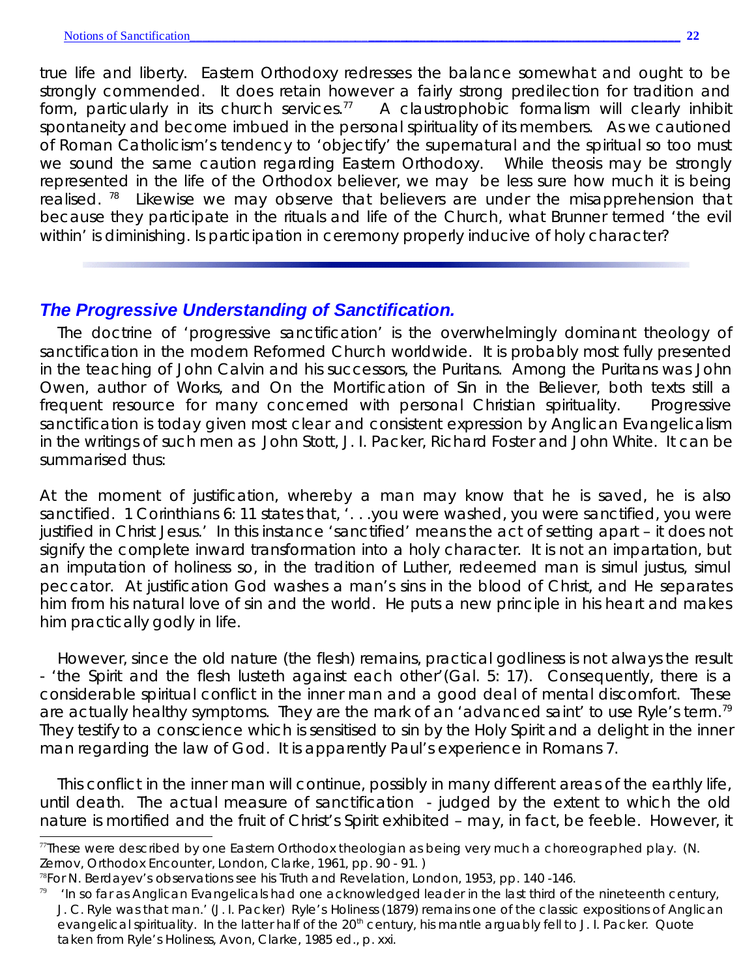true life and liberty. Eastern Orthodoxy redresses the balance somewhat and ought to be strongly commended. It does retain however a fairly strong predilection for tradition and form, particularly in its church services.<sup>77</sup> A claustrophobic formalism will clearly inhibit spontaneity and become imbued in the personal spirituality of its members. As we cautioned of Roman Catholicism's tendency to 'objectify' the supernatural and the spiritual so too must we sound the same caution regarding Eastern Orthodoxy. While *theosis* may be strongly *represented* in the life of the Orthodox believer, we may be less sure how much it is being realised.  $78$  Likewise we may observe that believers are under the misapprehension that because they participate in the rituals and life of the Church, what Brunner termed 'the evil within' is diminishing. Is participation in ceremony properly inducive of holy character?

## *The Progressive Understanding of Sanctification.*

The doctrine of 'progressive sanctification' is the overwhelmingly dominant theology of sanctification in the modern Reformed Church worldwide. It is probably most fully presented in the teaching of John Calvin and his successors, the Puritans. Among the Puritans was John Owen, author of *Works*, and *On the Mortification of Sin in the Believer,* both texts still a frequent resource for many concerned with personal Christian spirituality. Progressive sanctification is today given most clear and consistent expression by Anglican Evangelicalism in the writings of such men as John Stott, J. I. Packer, Richard Foster and John White. It can be summarised thus:

At the moment of justification, whereby a man may know that he is saved, he is also sanctified. 1 Corinthians 6: 11 states that, '... you were washed, you were sanctified, you were justified in Christ Jesus.' In this instance 'sanctified' means the act of setting apart – it does not signify the complete inward transformation into a holy character. It is not an impartation, but an imputation of holiness so, in the tradition of Luther, redeemed man is *simul justus, simul peccator*. At justification God washes a man's sins in the blood of Christ, and He separates him from his natural love of sin and the world. He puts a new principle in his heart and makes him practically godly in life.

However, since the old nature (the flesh) remains, practical godliness is not always the result - 'the Spirit and the flesh lusteth against each other'(Gal. 5: 17). Consequently, there is a considerable spiritual conflict in the inner man and a good deal of mental discomfort. These are actually healthy symptoms. They are the mark of an 'advanced saint' to use Ryle's term.<sup>79</sup> They testify to a conscience which is sensitised to sin by the Holy Spirit and a delight in the inner man regarding the law of God. It is apparently Paul's experience in Romans 7.

This conflict in the inner man will continue, possibly in many different areas of the earthly life, until death. The actual measure of sanctification - judged by the extent to which the old nature is mortified and the fruit of Christ's Spirit exhibited – may, in fact, be feeble. However, it

 $\eta$ These were described by one Eastern Orthodox theologian as being very much a choreographed play. (N. Zernov, *Orthodox Encounter*, London, Clarke, 1961, pp. 90 - 91. )

<sup>78</sup>For N. Berdayev's observations see his *Truth and Revelation*, London, 1953, pp. 140 -146.

 $79$  'In so far as Anglican Evangelicals had one acknowledged leader in the last third of the nineteenth century, J. C. Ryle was that man.' (J. I. Packer) Ryle's *Holiness* (1879) remains one of the classic expositions of Anglican evangelical spirituality. In the latter half of the 20<sup>th</sup> century, his mantle arguably fell to J. I. Packer. Quote taken from Ryle's *Holiness*, Avon, Clarke, 1985 ed., p. xxi.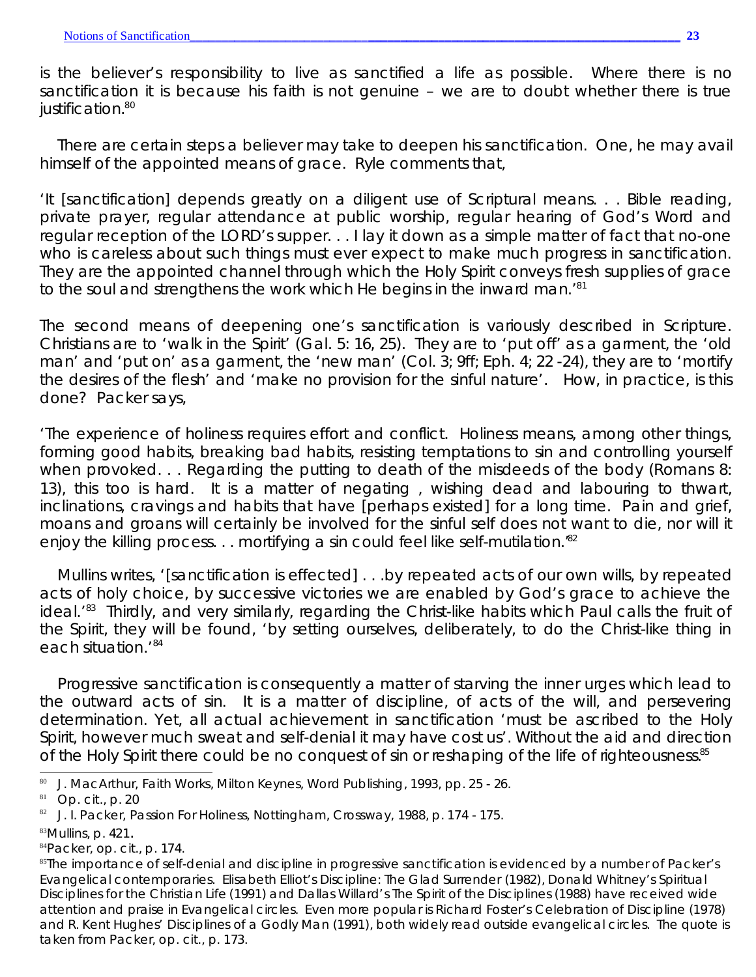is the believer's responsibility to live as sanctified a life as possible. Where there is no sanctification it is because his faith is not genuine – we are to doubt whether there is true justification.<sup>80</sup>

There are certain steps a believer may take to deepen his sanctification. One, he may avail himself of the appointed means of grace. Ryle comments that,

'It [sanctification] depends greatly on a diligent use of Scriptural means. . . Bible reading, private prayer, regular attendance at public worship, regular hearing of God's Word and regular reception of the LORD's supper... I lay it down as a simple matter of fact that no-one who is careless about such things must ever expect to make much progress in sanctification. They are the appointed channel through which the Holy Spirit conveys fresh supplies of grace to the soul and strengthens the work which He begins in the inward man.'<sup>81</sup>

The second means of deepening one's sanctification is variously described in Scripture. Christians are to 'walk in the Spirit' (Gal. 5: 16, 25). They are to 'put off' as a garment, the 'old man' and 'put on' as a garment, the 'new man' (Col. 3; 9ff; Eph. 4; 22 -24), they are to 'mortify the desires of the flesh' and 'make no provision for the sinful nature'. How, in practice, is this done? Packer says,

'The experience of holiness requires effort and conflict. Holiness means, among other things, forming good habits, breaking bad habits, resisting temptations to sin and controlling yourself when provoked. . . Regarding the putting to death of the misdeeds of the body (Romans 8: 13), this too is hard. It is a matter of negating , wishing dead and labouring to thwart, inclinations, cravings and habits that have [perhaps existed] for a long time. Pain and grief, moans and groans will certainly be involved for the sinful self does not want to die, nor will it enjoy the killing process. . . mortifying a sin could feel like self-mutilation.<sup>82</sup>

Mullins writes, '[sanctification is effected] . . .by repeated acts of our own wills, by repeated acts of holy choice, by successive victories we are enabled by God's grace to achieve the ideal.<sup>83</sup> Thirdly, and very similarly, regarding the Christ-like habits which Paul calls the fruit of the Spirit, they will be found, 'by setting ourselves, deliberately, to do the Christ-like thing in each situation.<sup>'84</sup>

Progressive sanctification is consequently a matter of starving the inner urges which lead to the outward acts of sin. It is a matter of discipline, of acts of the will, and persevering determination. Yet, all actual achievement in sanctification 'must be ascribed to the Holy Spirit, however much sweat and self-denial it may have cost us'. Without the aid and direction of the Holy Spirit there could be no conquest of sin or reshaping of the life of righteousness.<sup>85</sup>

<sup>84</sup>Packer, *op. cit*., p. 174.

<sup>80</sup> J. MacArthur, *Faith Works*, Milton Keynes, Word Publishing, 1993, pp. 25 - 26.

<sup>81</sup> *Op. cit.*, p. 20

<sup>82</sup> J. I. Packer, *Passion For Holiness*, Nottingham, Crossway, 1988, p. 174 - 175.

 $83$ Mullins, p. 421.

<sup>&</sup>lt;sup>85</sup>The importance of self-denial and discipline in progressive sanctification is evidenced by a number of Packer's Evangelical contemporaries. Elisabeth Elliot's *Discipline: The Glad Surrender* (1982), Donald Whitney's *Spiritual Disciplines for the Christian Life* (1991) and Dallas Willard's *The Spirit of the Disciplines* (1988) have received wide attention and praise in Evangelical circles. Even more popular is Richard Foster's *Celebration of Discipline* (1978) and R. Kent Hughes' *Disciplines of a Godly Man* (1991), both widely read outside evangelical circles. The quote is taken from Packer, *op. cit.*, p. 173.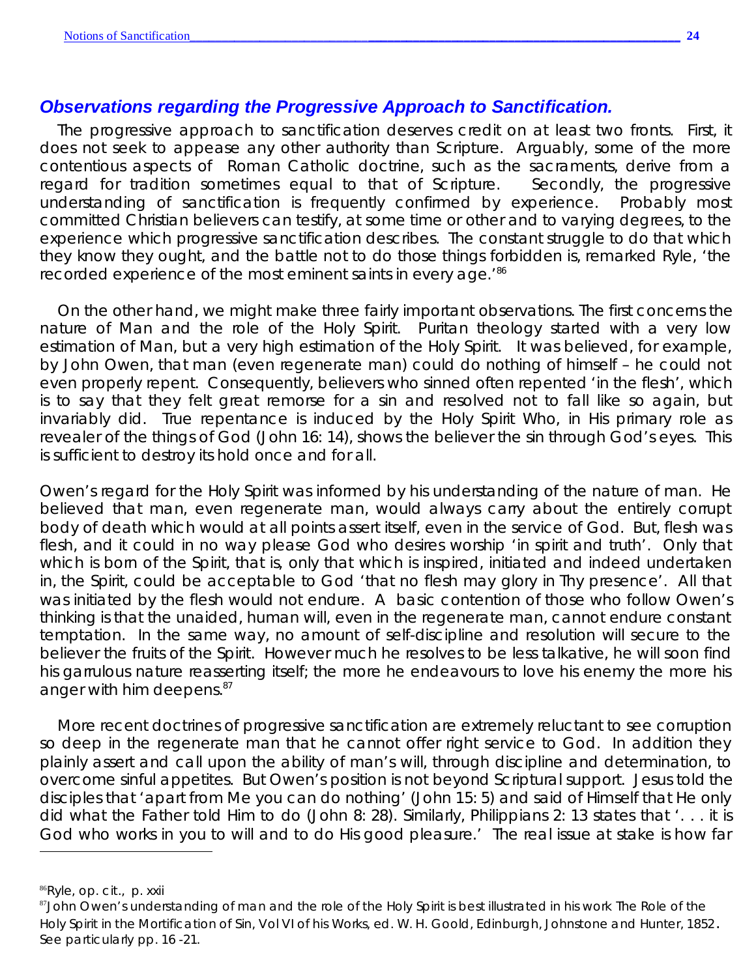### *Observations regarding the Progressive Approach to Sanctification.*

The progressive approach to sanctification deserves credit on at least two fronts. First, it does not seek to appease any other authority than Scripture. Arguably, some of the more contentious aspects of Roman Catholic doctrine, such as the sacraments, derive from a regard for tradition sometimes equal to that of Scripture. Secondly, the progressive understanding of sanctification is frequently confirmed by experience. Probably most committed Christian believers can testify, at some time or other and to varying degrees, to the experience which progressive sanctification describes. The constant struggle to do that which they know they ought, and the battle not to do those things forbidden is, remarked Ryle, 'the recorded experience of the most eminent saints in every age.<sup>'86</sup>

On the other hand, we might make three fairly important observations. The first concerns the nature of Man and the role of the Holy Spirit. Puritan theology started with a very low estimation of Man, but a very high estimation of the Holy Spirit. It was believed, for example, by John Owen, that man (even regenerate man) could do nothing of himself – he could not even properly repent. Consequently, believers who sinned often repented 'in the flesh', which is to say that they felt great remorse for a sin and resolved not to fall like so again, but invariably did. True repentance is induced by the Holy Spirit Who, in His primary role as revealer of the things of God (John 16: 14), shows the believer the sin through God's eyes. This is sufficient to destroy its hold once and for all.

Owen's regard for the Holy Spirit was informed by his understanding of the nature of man. He believed that man, even regenerate man, would always carry about the *entirely* corrupt body of death which would at all points assert itself, even in the service of God. But, flesh was flesh, and it could in no way please God who desires worship 'in spirit and truth'. Only that which is born of the Spirit, that is, only that which is inspired, initiated and indeed undertaken in, the Spirit, could be acceptable to God 'that no flesh may glory in Thy presence'. All that was initiated by the flesh would not endure. A basic contention of those who follow Owen's thinking is that the unaided, human will, even in the regenerate man, cannot endure constant temptation. In the same way, no amount of self-discipline and resolution will secure to the believer the fruits of the Spirit. However much he resolves to be less talkative, he will soon find his garrulous nature reasserting itself; the more he endeavours to love his enemy the more his anger with him deepens. $87$ 

More recent doctrines of progressive sanctification are extremely reluctant to see corruption so deep in the regenerate man that he cannot offer right service to God. In addition they plainly assert and call upon the ability of man's will, through discipline and determination, to overcome sinful appetites. But Owen's position is not beyond Scriptural support. Jesus told the disciples that 'apart from Me you can do nothing' (John 15: 5) and said of Himself that He only did what the Father told Him to do (John 8: 28). Similarly, Philippians 2: 13 states that '. . . it is God who works in you to will and to do His good pleasure.' The real issue at stake is how far

<sup>86</sup>Ryle, *op. cit*., p. xxii

<sup>87</sup>John Owen's understanding of man and the role of the Holy Spirit is best illustrated in his work *The Role of the Holy Spirit in the Mortification of Sin*, Vol VI of his *Works*, ed. W. H. Goold, Edinburgh, Johnstone and Hunter, 1852. See particularly pp. 16 -21.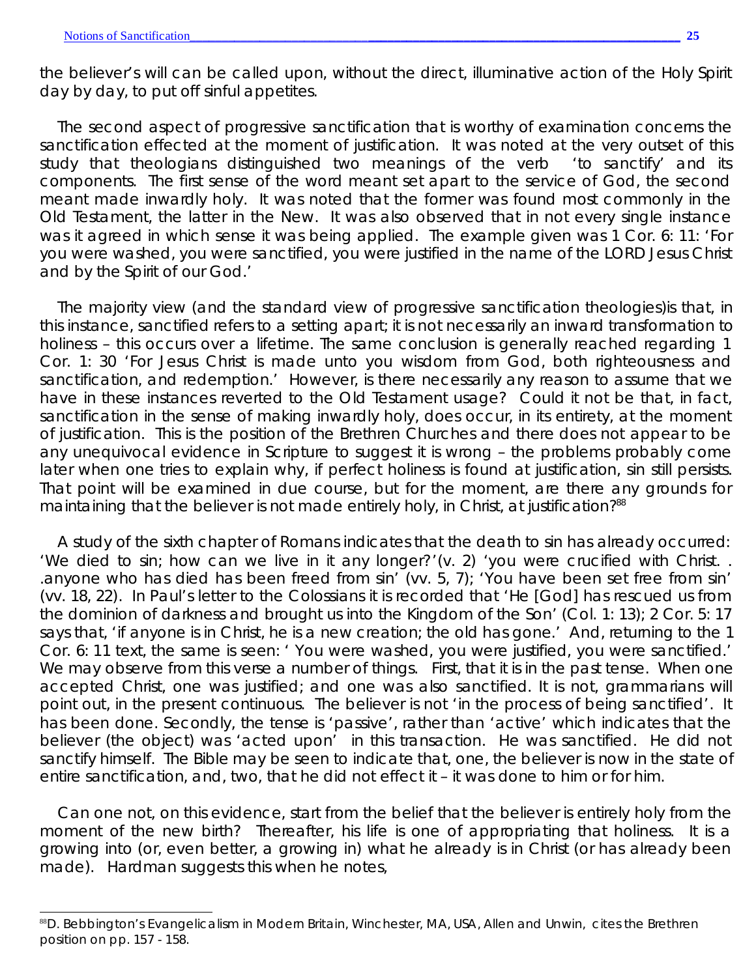the believer's will can be called upon, without the direct, illuminative action of the Holy Spirit day by day, to put off sinful appetites.

The second aspect of progressive sanctification that is worthy of examination concerns the sanctification effected at the moment of justification. It was noted at the very outset of this study that theologians distinguished two meanings of the verb 'to sanctify' and its components. The first sense of the word meant set apart to the service of God, the second meant made inwardly holy. It was noted that the former was found most commonly in the Old Testament, the latter in the New. It was also observed that in not every single instance was it agreed in which sense it was being applied. The example given was 1 Cor. 6: 11: 'For you were washed, you were sanctified, you were justified in the name of the LORD Jesus Christ and by the Spirit of our God.'

The majority view (and the standard view of progressive sanctification theologies)is that, in this instance, sanctified refers to a setting apart; it is not necessarily an inward transformation to holiness – this occurs over a lifetime. The same conclusion is generally reached regarding 1 Cor. 1: 30 'For Jesus Christ is made unto you wisdom from God, both righteousness and sanctification, and redemption.' However, is there necessarily any reason to assume that we have in these instances reverted to the Old Testament usage? Could it not be that, in fact, sanctification in the sense of making inwardly holy, does occur, in its entirety, at the moment of justification. This is the position of the Brethren Churches and there does not appear to be any unequivocal evidence in Scripture to suggest it is wrong – the problems probably come later when one tries to explain why, if perfect holiness is found at justification, sin still persists. That point will be examined in due course, but for the moment, are there any grounds for maintaining that the believer is not made entirely holy, in Christ, at justification?<sup>88</sup>

A study of the sixth chapter of Romans indicates that the death to sin has already occurred: 'We died to sin; how can we live in it any longer?'(v. 2) 'you were crucified with Christ. . .anyone who has died has been freed from sin' (vv. 5, 7); 'You have been set free from sin' (vv. 18, 22). In Paul's letter to the Colossians it is recorded that 'He [God] has rescued us from the dominion of darkness and brought us into the Kingdom of the Son' (Col. 1: 13); 2 Cor. 5: 17 says that, 'if anyone is in Christ, he is a new creation; the old has gone.' And, returning to the 1 Cor. 6: 11 text, the same is seen: ' You were washed, you were justified, you were sanctified.' We may observe from this verse a number of things. First, that it is in the past tense. When one accepted Christ, one was justified; and one was also *sanctified*. It is not, grammarians will point out, in the present continuous. The believer is not 'in the process of being sanctified'. It has been done. Secondly, the tense is 'passive', rather than 'active' which indicates that the believer (the object) was 'acted upon' in this transaction. He was sanctified. He did not sanctify himself. The Bible may be seen to indicate that, one, the believer is now in the state of entire sanctification, and, two, that he did not effect it – it was done to him or for him.

Can one not, on this evidence, start from the belief that the believer is entirely holy from the moment of the new birth? Thereafter, his life is one of *appropriating* that holiness. It is a growing *into (*or, even better, a growing *in)* what he already *is* in Christ (or has already been made). Hardman suggests this when he notes,

<sup>88</sup>D. Bebbington's *Evangelicalism in Modern Britain,* Winchester, MA, USA, Allen and Unwin, cites the Brethren position on pp. 157 - 158.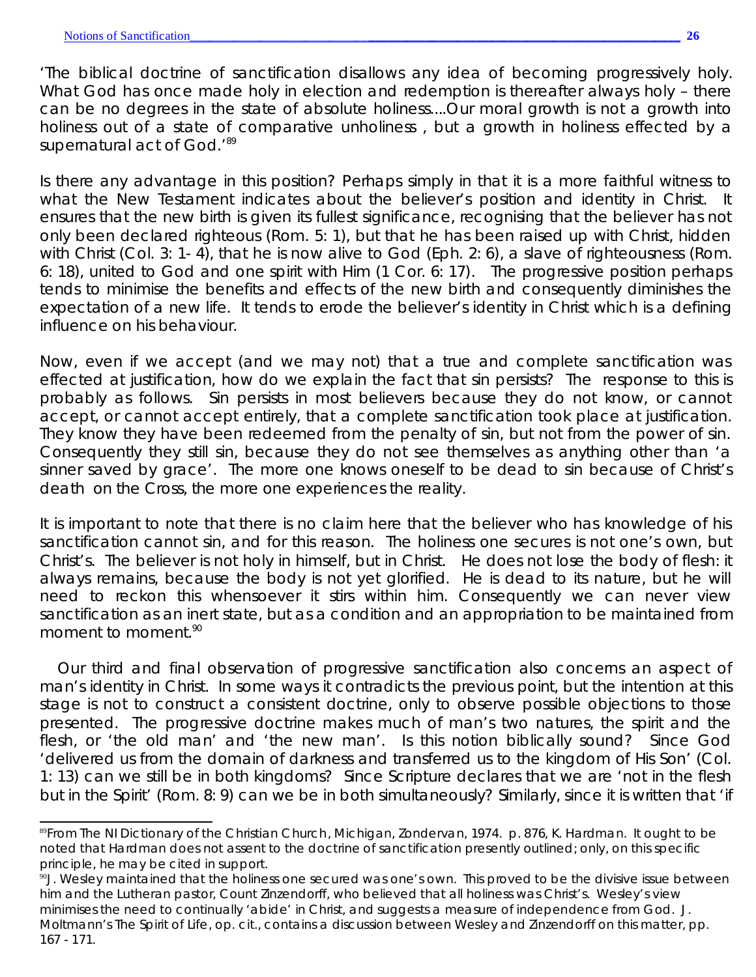'The biblical doctrine of sanctification disallows any idea of becoming progressively holy. What God has once made holy in election and redemption is thereafter always holy - there can be no degrees in the state of absolute holiness....Our moral growth is not a growth into holiness out of a state of comparative unholiness, but a growth in holiness effected by a supernatural act of God.<sup>'89</sup>

Is there any advantage in this position? Perhaps simply in that it is a more faithful witness to what the New Testament indicates about the believer's position and identity in Christ. It ensures that the new birth is given its fullest significance, recognising that the believer has not only been declared righteous (Rom. 5: 1), but that he has been raised up with Christ, hidden with Christ (Col. 3: 1-4), that he is now alive to God (Eph. 2: 6), a slave of righteousness (Rom. 6: 18), united to God and one spirit with Him (1 Cor. 6: 17). The progressive position perhaps tends to minimise the benefits and effects of the new birth and consequently diminishes the expectation of a new life. It tends to erode the believer's identity in Christ which is a defining influence on his behaviour.

Now, even if we accept (and we may not) that a true and complete sanctification was effected at justification, how do we explain the fact that sin persists? The response to this is probably as follows. Sin persists in most believers because they do not know, or cannot accept, or cannot accept entirely, that a complete sanctification took place at justification. They know they have been redeemed from the penalty of sin, but not from the power of sin. Consequently they still sin, because they do not see themselves as anything other than 'a sinner saved by grace'. The more one knows oneself to be dead to sin because of Christ's death on the Cross, the more one experiences the reality.

It is important to note that there is no claim here that the believer who has knowledge of his sanctification cannot sin, and for this reason. The holiness one secures is not one's own, but Christ's. The believer is not holy in himself, but in Christ. He does not lose the body of flesh: it always remains, because the body is not yet glorified. He is dead to its nature, but he will need to reckon this whensoever it stirs within him. Consequently we can never view sanctification as an inert state, but as a condition and an appropriation to be maintained from moment to moment.<sup>90</sup>

Our third and final observation of progressive sanctification also concerns an aspect of man's identity in Christ. In some ways it contradicts the previous point, but the intention at this stage is not to construct a consistent doctrine, only to observe possible objections to those presented. The progressive doctrine makes much of man's two natures, the spirit and the flesh, or 'the old man' and 'the new man'. Is this notion biblically sound? Since God 'delivered us from the domain of darkness and transferred us to the kingdom of His Son' (Col. 1: 13) can we still be in both kingdoms? Since Scripture declares that we are 'not in the flesh but in the Spirit' (Rom. 8: 9) can we be in both simultaneously? Similarly, since it is written that 'if

<sup>89</sup>From *The NI Dictionary of the Christian Church*, Michigan, Zondervan, 1974. p. 876, K. Hardman. It ought to be noted that Hardman does not assent to the doctrine of sanctification presently outlined; only, on this specific principle, he may be cited in support.

 $90$ . Wesley maintained that the holiness one secured was one's own. This proved to be the divisive issue between him and the Lutheran pastor, Count Zinzendorff, who believed that all holiness was Christ's. Wesley's view minimises the need to continually 'abide' in Christ, and suggests a measure of independence from God. J. Moltmann's *The Spirit of Life*, *op. cit*., contains a discussion between Wesley and Zinzendorff on this matter, pp. 167 - 171.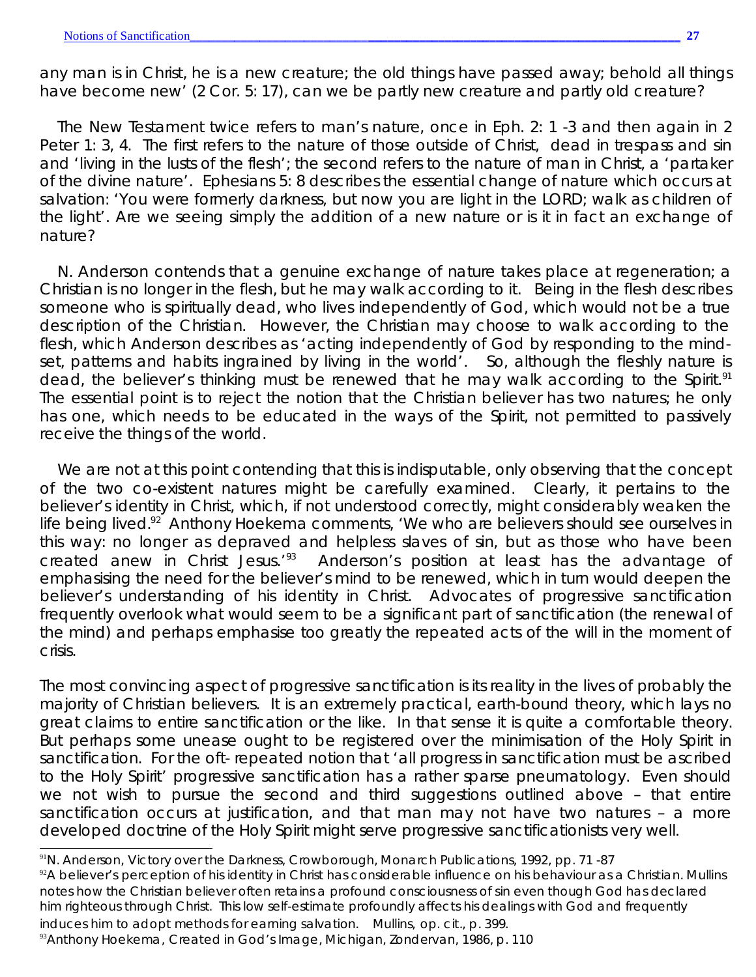any man is in Christ, he is a new creature; the old things have passed away; behold all things have become new' (2 Cor. 5: 17), can we be partly new creature and partly old creature?

The New Testament twice refers to man's nature, once in Eph. 2: 1 -3 and then again in 2 Peter 1: 3, 4. The first refers to the nature of those outside of Christ, dead in trespass and sin and 'living in the lusts of the flesh'; the second refers to the nature of man in Christ, a 'partaker of the divine nature'. Ephesians 5: 8 describes the essential change of nature which occurs at salvation: 'You were formerly darkness, but now you are light in the LORD; walk as children of the light'. Are we seeing simply the *addition* of a new nature or is it in fact an *exchange* of nature?

N. Anderson contends that a genuine exchange of nature takes place at regeneration; a Christian is no longer in the flesh, *but he may walk according to it.* Being *in* the flesh describes someone who is spiritually dead, who lives independently of God, which would not be a true description of the Christian. However, the Christian may choose to *walk according to the flesh*, which Anderson describes as 'acting independently of God by responding to the mindset, patterns and habits ingrained by living in the world'. So, although the fleshly nature is dead, the believer's thinking must be renewed that he may walk according to the Spirit.<sup>91</sup> The essential point is to reject the notion that the Christian believer has two natures; he only has one, which needs to be educated in the ways of the Spirit, not permitted to passively receive the things of the world.

We are not at this point contending that this is indisputable, only observing that the concept of the two co-existent natures might be carefully examined. Clearly, it pertains to the believer's identity in Christ, which, if not understood correctly, might considerably weaken the life being lived.<sup>92</sup> Anthony Hoekema comments, 'We who are believers should see ourselves in this way: no longer as depraved and helpless slaves of sin, but as those who have been created anew in Christ Jesus.'<sup>93</sup> Anderson's position at least has the advantage of emphasising the need for the believer's mind to be renewed, which in turn would deepen the believer's understanding of his identity in Christ. Advocates of progressive sanctification frequently overlook what would seem to be a significant part of sanctification (the renewal of the mind) and perhaps emphasise too greatly the repeated acts of the will in the moment of crisis.

The most convincing aspect of progressive sanctification is its reality in the lives of probably the majority of Christian believers. It is an extremely practical, earth-bound theory, which lays no great claims to entire sanctification or the like. In that sense it is quite a comfortable theory. But perhaps some unease ought to be registered over the minimisation of the Holy Spirit in sanctification. For the oft- repeated notion that 'all progress in sanctification must be ascribed to the Holy Spirit' progressive sanctification has a rather sparse pneumatology. Even should we not wish to pursue the second and third suggestions outlined above – that entire sanctification occurs at justification, and that man may not have two natures - a more developed doctrine of the Holy Spirit might serve progressive sanctificationists very well.

<sup>91</sup>N. Anderson, *Victory over the Darkness*, Crowborough, Monarch Publications, 1992, pp. 71 -87

92A believer's perception of his identity in Christ has considerable influence on his behaviour as a Christian. Mullins notes how the Christian believer often retains a profound consciousness of sin even though God has declared him righteous through Christ. This low self-estimate profoundly affects his dealings with God and frequently

induces him to adopt methods for earning salvation. Mullins, *op. cit*., p. 399. <sup>93</sup>Anthony Hoekema, *Created in God's Image*, Michigan, Zondervan, 1986, p. 110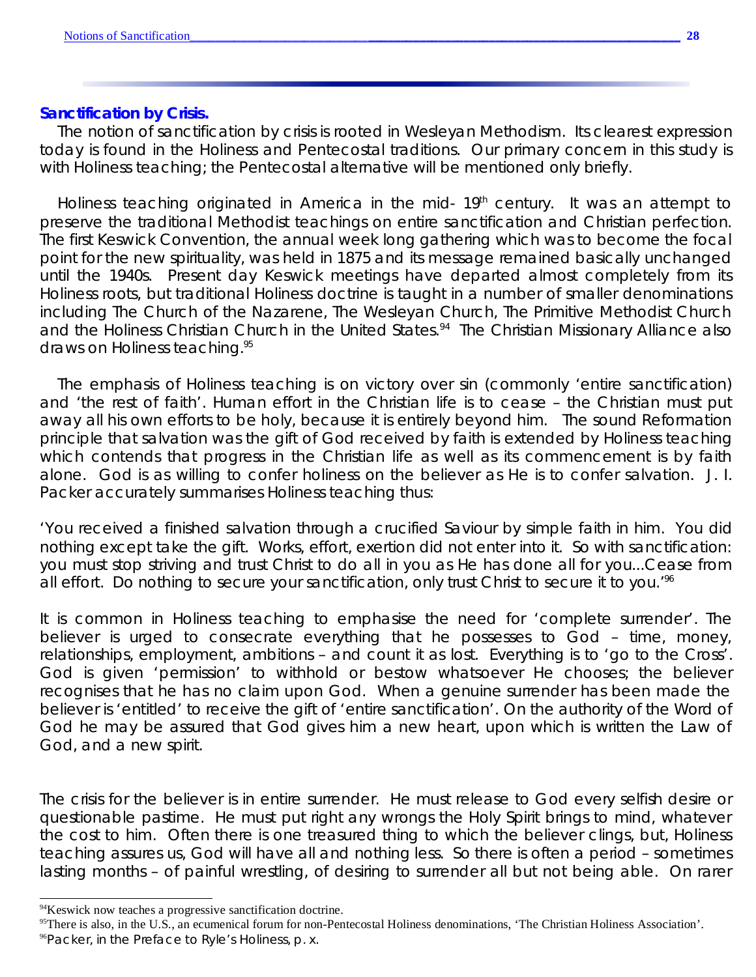#### **Sanctification by Crisis.**

The notion of sanctification by crisis is rooted in Wesleyan Methodism. Its clearest expression today is found in the Holiness and Pentecostal traditions. Our primary concern in this study is with Holiness teaching; the Pentecostal alternative will be mentioned only briefly.

Holiness teaching originated in America in the mid- 19<sup>th</sup> century. It was an attempt to preserve the traditional Methodist teachings on entire sanctification and Christian perfection. The first Keswick Convention, the annual week long gathering which was to become the focal point for the new spirituality, was held in 1875 and its message remained basically unchanged until the 1940s. Present day Keswick meetings have departed almost completely from its Holiness roots, but traditional Holiness doctrine is taught in a number of smaller denominations including The Church of the Nazarene, The Wesleyan Church, The Primitive Methodist Church and the Holiness Christian Church in the United States.<sup>94</sup> The Christian Missionary Alliance also draws on Holiness teaching.<sup>95</sup>

The emphasis of Holiness teaching is on victory over sin (commonly 'entire sanctification) and 'the rest of faith'. Human effort in the Christian life is to cease – the Christian must put away all his own efforts to be holy, because it is entirely beyond him. The sound Reformation principle that salvation was the gift of God received by faith is extended by Holiness teaching which contends that progress in the Christian life as well as its commencement is by faith alone. God is as willing to confer holiness on the believer as He is to confer salvation. J. I. Packer accurately summarises Holiness teaching thus:

'You received a finished salvation through a crucified Saviour by simple faith in him. You did nothing except take the gift. Works, effort, exertion did not enter into it. So with sanctification: you must stop striving and trust Christ to do all in you as He has done all for you...Cease from all effort. Do nothing to secure your sanctification, only trust Christ to secure it to you."<sup>66</sup>

It is common in Holiness teaching to emphasise the need for 'complete surrender'. The believer is urged to consecrate everything that he possesses to God – time, money, relationships, employment, ambitions – and count it as lost. Everything is to 'go to the Cross'. God is given 'permission' to withhold or bestow whatsoever He chooses; the believer recognises that he has no claim upon God. When a genuine surrender has been made the believer is 'entitled' to receive the gift of 'entire sanctification'. On the authority of the Word of God he may be assured that God gives him a new heart, upon which is written the Law of God, and a new spirit.

The crisis for the believer is in entire surrender. He must release to God every selfish desire or questionable pastime. He must put right any wrongs the Holy Spirit brings to mind, whatever the cost to him. Often there is one treasured thing to which the believer clings, but, Holiness teaching assures us, God will have all and nothing less. So there is often a period – sometimes lasting months – of painful wrestling, of desiring to surrender all but not being able. On rarer

95There is also, in the U.S., an ecumenical forum for non-Pentecostal Holiness denominations, 'The Christian Holiness Association'.

<sup>&</sup>lt;sup>94</sup>Keswick now teaches a progressive sanctification doctrine.

<sup>96</sup>Packer, in the Preface to Ryle's *Holiness*, p. x.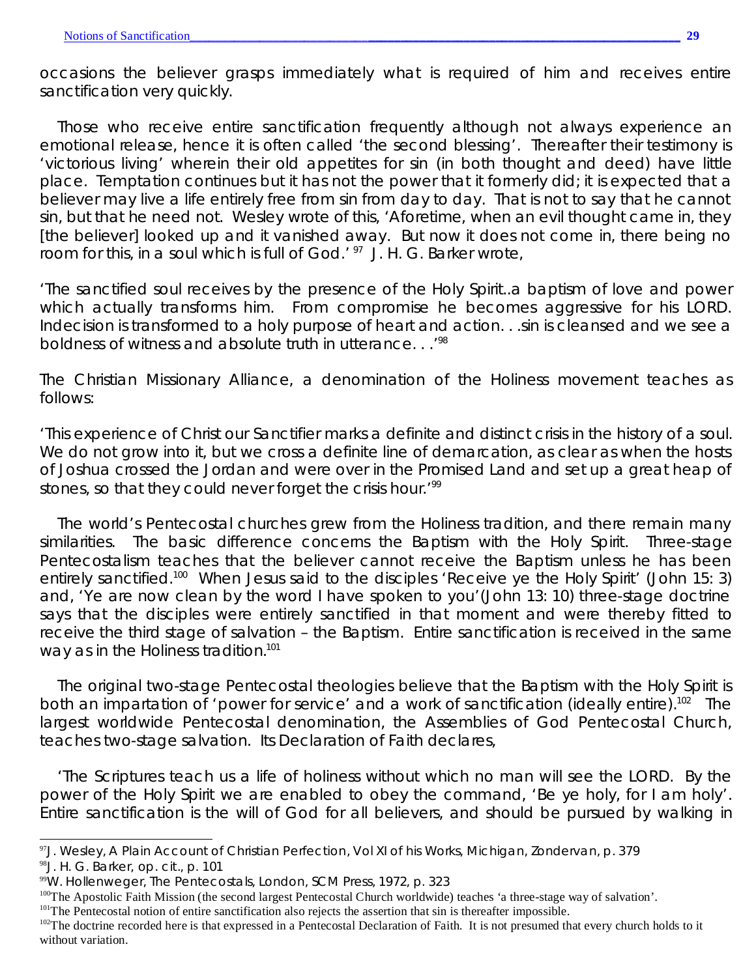occasions the believer grasps immediately what is required of him and receives entire sanctification very quickly.

Those who receive entire sanctification frequently although not always experience an emotional release, hence it is often called 'the second blessing'. Thereafter their testimony is 'victorious living' wherein their old appetites for sin (in both thought and deed) have little place. Temptation continues but it has not the power that it formerly did; it is expected that a believer may live a life entirely free from sin from day to day. That is not to say that he *cannot* sin, but that he *need* not. Wesley wrote of this, 'Aforetime, when an evil thought came in, they [the believer] looked up and it vanished away. But now it does not come in, there being no room for this, in a soul which is full of God.' <sup>97</sup> J. H. G. Barker wrote,

'The sanctified soul receives by the presence of the Holy Spirit..a baptism of love and power which actually transforms him. From compromise he becomes aggressive for his LORD. Indecision is transformed to a holy purpose of heart and action. . .sin is cleansed and we see a boldness of witness and absolute truth in utterance. . .'<sup>98</sup>

The Christian Missionary Alliance, a denomination of the Holiness movement teaches as follows:

'This experience of Christ our Sanctifier marks a definite and distinct crisis in the history of a soul. We do not grow into it, but we cross a definite line of demarcation, as clear as when the hosts of Joshua crossed the Jordan and were over in the Promised Land and set up a great heap of stones, so that they could never forget the crisis hour.<sup>199</sup>

The world's Pentecostal churches grew from the Holiness tradition, and there remain many similarities. The basic difference concerns the Baptism with the Holy Spirit. Three-stage Pentecostalism teaches that the believer cannot receive the Baptism unless he has been entirely sanctified.<sup>100</sup> When Jesus said to the disciples 'Receive ye the Holy Spirit' (John 15: 3) and, 'Ye are now clean by the word I have spoken to you'(John 13: 10) three-stage doctrine says that the disciples were entirely sanctified in that moment and were thereby fitted to receive the third stage of salvation – the Baptism. Entire sanctification is received in the same way as in the Holiness tradition.<sup>101</sup>

The original *two-stage* Pentecostal theologies believe that the Baptism with the Holy Spirit is both an impartation of 'power for service' and a work of sanctification (ideally entire).<sup>102</sup> The largest worldwide Pentecostal denomination, the Assemblies of God Pentecostal Church, teaches two-stage salvation. Its Declaration of Faith declares,

'The Scriptures teach us a life of holiness without which no man will see the LORD. By the power of the Holy Spirit we are enabled to obey the command, 'Be ye holy, for I am holy'. Entire sanctification is the will of God for all believers, and should be pursued by walking in

<sup>98</sup>J. H. G. Barker, *op. cit*., p. 101

<sup>97</sup>J. Wesley, *A Plain Account of Christian Perfection*, Vol XI of his *Works*, Michigan, Zondervan, p. 379

<sup>99</sup>W. Hollenweger, *The Pentecostals*, London, SCM Press, 1972, p. 323

<sup>&</sup>lt;sup>100</sup>The Apostolic Faith Mission (the second largest Pentecostal Church worldwide) teaches 'a three-stage way of salvation'.

<sup>&</sup>lt;sup>101</sup>The Pentecostal notion of entire sanctification also rejects the assertion that sin is thereafter impossible.

 $102$ The doctrine recorded here is that expressed in a Pentecostal Declaration of Faith. It is not presumed that every church holds to it without variation.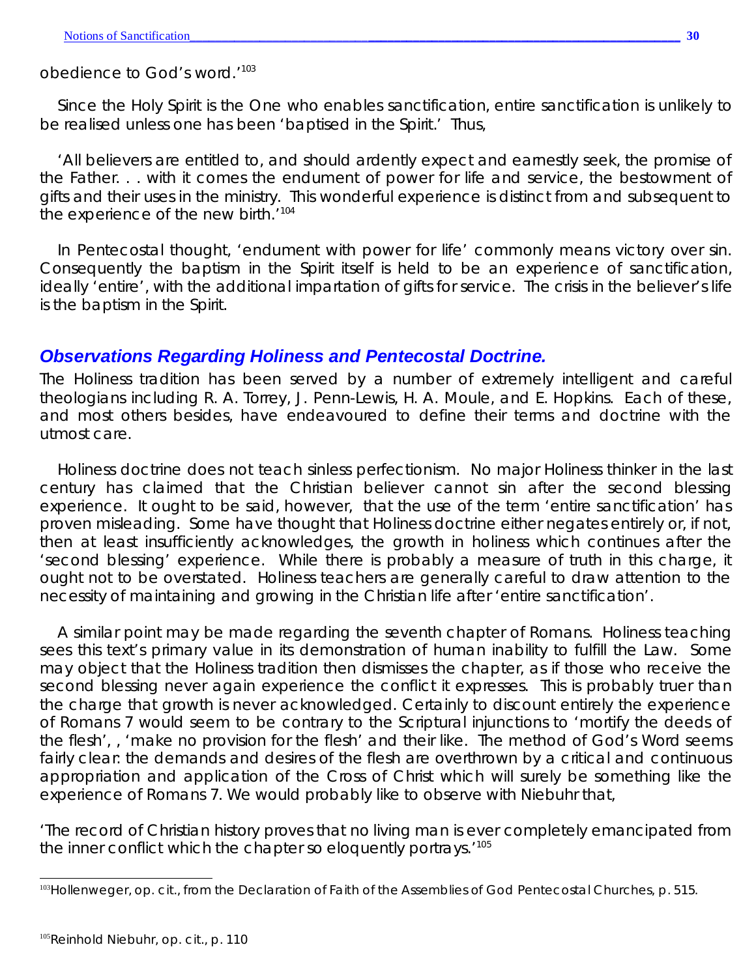#### obedience to God's word.'<sup>103</sup>

Since the Holy Spirit is the One who enables sanctification, entire sanctification is unlikely to be realised unless one has been 'baptised in the Spirit.' Thus,

'All believers are entitled to, and should ardently expect and earnestly seek, the promise of the Father. . . with it comes the endument of power for life and service, the bestowment of gifts and their uses in the ministry. This wonderful experience is distinct from and subsequent to the experience of the new birth.<sup>'104</sup>

In Pentecostal thought, 'endument with power for life' commonly means victory over sin. Consequently the baptism in the Spirit itself is held to be an experience of sanctification, ideally 'entire', with the additional impartation of gifts for service. The crisis in the believer's life is the baptism in the Spirit.

## *Observations Regarding Holiness and Pentecostal Doctrine.*

The Holiness tradition has been served by a number of extremely intelligent and careful theologians including R. A. Torrey, J. Penn-Lewis, H. A. Moule, and E. Hopkins. Each of these, and most others besides, have endeavoured to define their terms and doctrine with the utmost care.

Holiness doctrine does *not* teach sinless perfectionism. No major Holiness thinker in the last century has claimed that the Christian believer cannot sin after the second blessing experience. It ought to be said, however, that the use of the term 'entire sanctification' has proven misleading. Some have thought that Holiness doctrine either negates entirely or, if not, then at least insufficiently acknowledges, the *growth* in holiness which continues after the 'second blessing' experience. While there is probably a measure of truth in this charge, it ought not to be overstated. Holiness teachers are generally careful to draw attention to the necessity of maintaining and growing in the Christian life after 'entire sanctification'.

A similar point may be made regarding the seventh chapter of Romans. Holiness teaching sees this text's primary value in its demonstration of human inability to fulfill the Law. Some may object that the Holiness tradition then dismisses the chapter, as if those who receive the second blessing never again experience the conflict it expresses. This is probably truer than the charge that growth is never acknowledged. Certainly to discount entirely the experience of Romans 7 would seem to be contrary to the Scriptural injunctions to 'mortify the deeds of the flesh', , 'make no provision for the flesh' and their like. The method of God's Word seems fairly clear: the demands and desires of the flesh are overthrown by a critical and *continuous* appropriation and application of the Cross of Christ which will surely be something like the experience of Romans 7. We would probably like to observe with Niebuhr that,

'The record of Christian history proves that no living man is ever completely emancipated from the inner conflict which the chapter so eloquently portrays.<sup>'105</sup>

<sup>103</sup>Hollenweger, *op. cit*., from the Declaration of Faith of the Assemblies of God Pentecostal Churches, p. 515.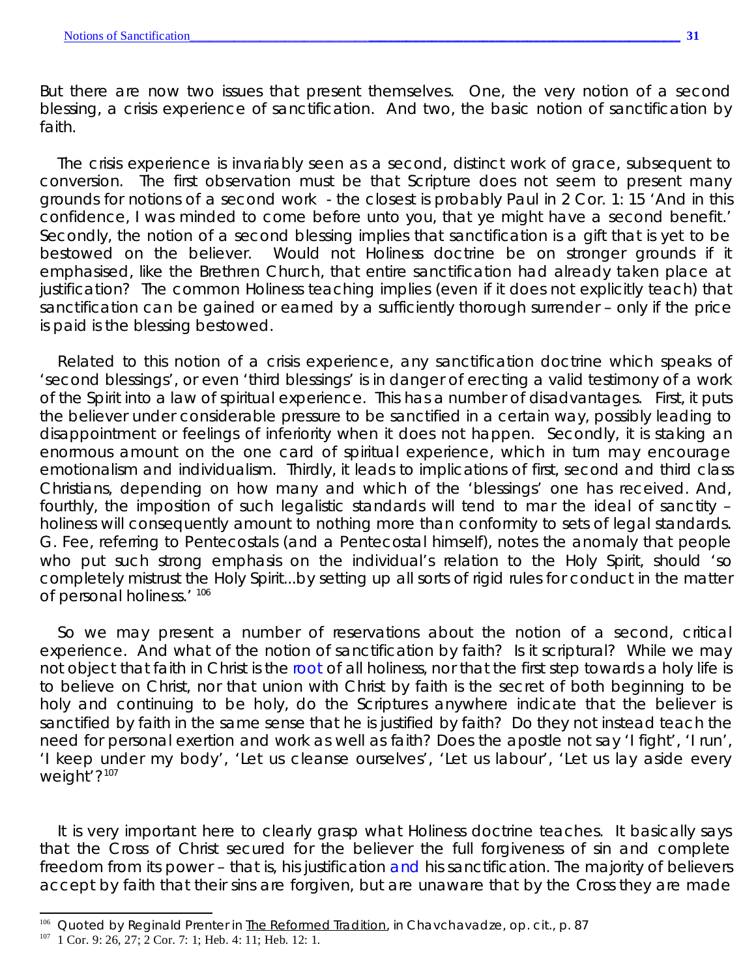But there are now two issues that present themselves. One, the very notion of a second blessing, a crisis experience of sanctification. And two, the basic notion of sanctification by faith.

The crisis experience is invariably seen as a second, distinct work of grace, subsequent to conversion. The first observation must be that Scripture does not seem to present many grounds for notions of a second work - the closest is probably Paul in 2 Cor. 1: 15 'And in this confidence, I was minded to come before unto you, that ye might have a *second benefit*.' Secondly, the notion of a second blessing implies that sanctification is a gift that is *yet to be bestowed* on the believer. Would not Holiness doctrine be on stronger grounds if it emphasised, like the Brethren Church, that entire sanctification *had already taken place at justification*? The common Holiness teaching implies (even if it does not explicitly teach) that sanctification can be gained or earned by a sufficiently thorough surrender – only if the price is paid is the blessing bestowed.

Related to this notion of a crisis experience, any sanctification doctrine which speaks of 'second blessings', or even 'third blessings' is in danger of erecting a valid testimony of a work of the Spirit into a law of spiritual experience. This has a number of disadvantages. First, it puts the believer under considerable pressure to be sanctified in a certain way, possibly leading to disappointment or feelings of inferiority when it does not happen. Secondly, it is staking an enormous amount on the one card of spiritual experience, which in turn may encourage emotionalism and individualism. Thirdly, it leads to implications of first, second and third class Christians, depending on how many and which of the 'blessings' one has received. And, fourthly, the imposition of such legalistic standards will tend to mar the ideal of sanctity – holiness will consequently amount to nothing more than conformity to sets of legal standards. G. Fee, referring to Pentecostals (and a Pentecostal himself), notes the anomaly that people who put such strong emphasis on the individual's relation to the Holy Spirit, should 'so completely mistrust the Holy Spirit...by setting up all sorts of rigid rules for conduct in the matter of personal holiness.' 106

So we may present a number of reservations about the notion of a second, critical experience. And what of the notion of sanctification by faith? Is it scriptural? While we may not object that faith in Christ is the *root* of all holiness, nor that the first step towards a holy life is to believe on Christ, nor that union with Christ by faith is the secret of both beginning to be holy and continuing to be holy, do the Scriptures anywhere indicate that the believer is sanctified by faith in the same sense that he is justified by faith? Do they not instead teach the need for personal exertion and work as well as faith? Does the apostle not say 'I fight', 'I run', 'I keep under my body', 'Let us cleanse ourselves', 'Let us labour', 'Let us lay aside every weight'?<sup>107</sup>

It is very important here to clearly grasp what Holiness doctrine teaches. It basically says that the Cross of Christ secured for the believer the full forgiveness of sin *and complete freedom from its power –* that is, his justification *and* his sanctification*.* The majority of believers accept by faith that their sins are forgiven, but are unaware that by the Cross they are made

<sup>106</sup> Quoted by Reginald Prenter in The Reformed Tradition, in Chavchavadze, *op. cit.*, p. 87

 $107$  1 Cor. 9: 26, 27; 2 Cor. 7: 1; Heb. 4: 11; Heb. 12: 1.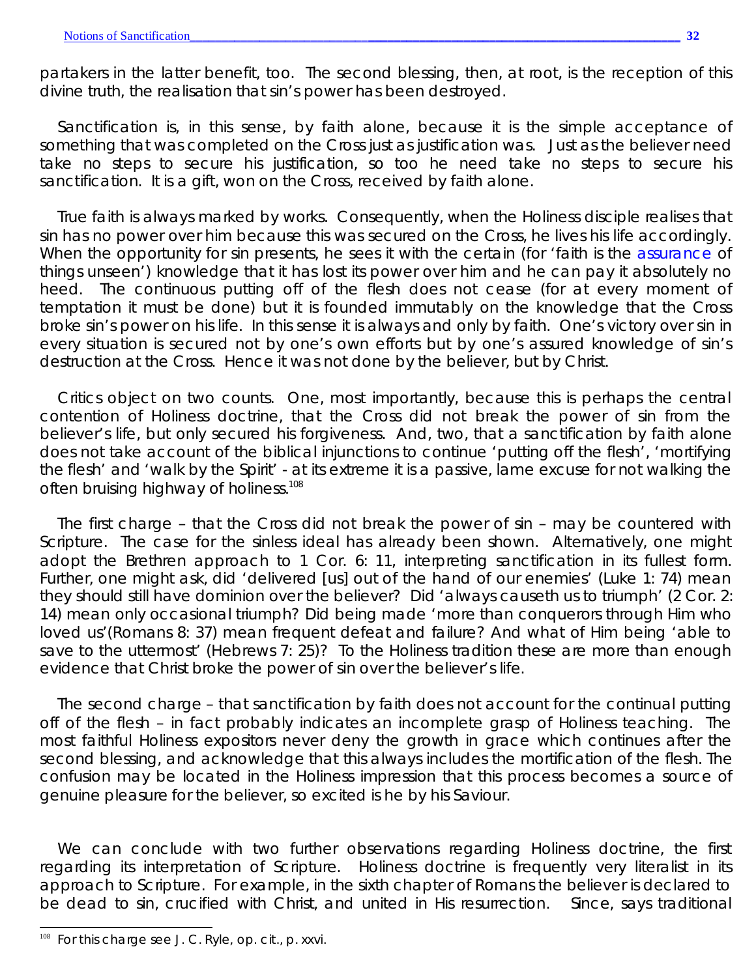partakers in the latter benefit, too. The second blessing, then, at root, is the reception of this divine truth, the realisation that sin's power has been destroyed.

Sanctification is, in this sense, by faith alone, because it is the simple acceptance of something that was completed on the Cross just as justification was. Just as the believer need take no steps to secure his justification, so too he need take no steps to secure his sanctification. It is a gift, won on the Cross, received by faith alone.

True faith is always marked by works. Consequently, when the Holiness disciple realises that sin has no power over him because this was secured on the Cross, he lives his life accordingly. When the opportunity for sin presents, he sees it with the certain (for 'faith is the *assurance* of things unseen') knowledge that it has lost its power over him and he can pay it absolutely no heed. The continuous putting off of the flesh does not cease (for at every moment of temptation it must be done) but it is founded immutably on the knowledge that the Cross broke sin's power on his life. In this sense it is always and only by faith. One's victory over sin in every situation is secured not by one's own efforts but by one's assured knowledge of sin's destruction at the Cross. Hence it was not done by the believer, but by Christ.

Critics object on two counts. One, most importantly, because this is perhaps the central contention of Holiness doctrine, that the Cross did *not* break the power of sin from the believer's life, but only secured his forgiveness. And, two, that a sanctification by faith alone does not take account of the biblical injunctions to continue 'putting off the flesh', 'mortifying the flesh' and 'walk by the Spirit' - at its extreme it is a passive, lame excuse for not walking the often bruising highway of holiness.<sup>108</sup>

The first charge – that the Cross did not break the power of sin – may be countered with Scripture. The case for the sinless ideal has already been shown. Alternatively, one might adopt the Brethren approach to 1 Cor. 6: 11, interpreting sanctification in its fullest form. Further, one might ask, did 'delivered [us] out of the hand of our enemies' (Luke 1: 74) mean they should still have dominion over the believer? Did 'always causeth us to triumph' (2 Cor. 2: 14) mean only occasional triumph? Did being made 'more than conquerors through Him who loved us'(Romans 8: 37) mean frequent defeat and failure? And what of Him being 'able to save to the uttermost' (Hebrews 7: 25)? To the Holiness tradition these are more than enough evidence that Christ broke the power of sin over the believer's life.

The second charge – that sanctification by faith does not account for the continual putting off of the flesh – in fact probably indicates an incomplete grasp of Holiness teaching. The most faithful Holiness expositors never deny the growth in grace which continues after the second blessing, and acknowledge that this always includes the mortification of the flesh. The confusion may be located in the Holiness impression that this process becomes a source of genuine pleasure for the believer, so excited is he by his Saviour.

We can conclude with two further observations regarding Holiness doctrine, the first regarding its interpretation of Scripture. Holiness doctrine is frequently very literalist in its approach to Scripture. For example, in the sixth chapter of Romans the believer is declared to be dead to sin, crucified with Christ, and united in His resurrection. Since, says traditional

<sup>108</sup> For this charge see J. C. Ryle, *op. cit*., p. xxvi.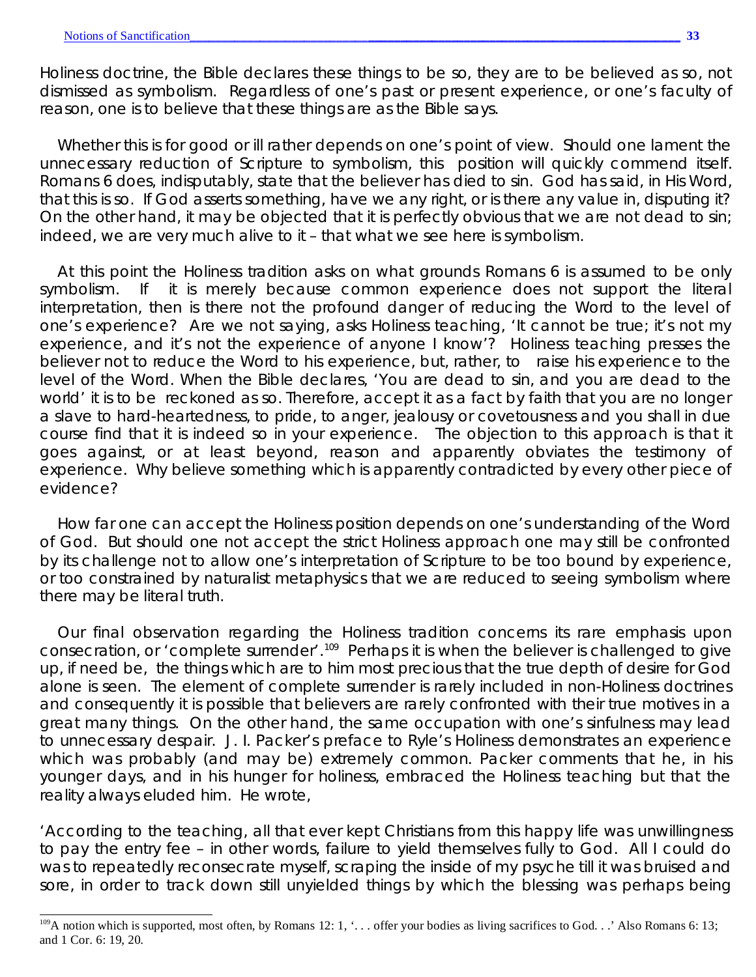Holiness doctrine, the Bible declares these things to be so, they are to be believed as so, not dismissed as symbolism. Regardless of one's past or present experience, or one's faculty of reason, one is to believe that these things are as the Bible says.

Whether this is for good or ill rather depends on one's point of view. Should one lament the unnecessary reduction of Scripture to symbolism, this position will quickly commend itself. Romans 6 does, indisputably, state that the believer has died to sin. God has said, in His Word, that this is so. If God asserts something, have we any right, or is there any value in, disputing it? On the other hand, it may be objected that it is perfectly obvious that we are *not* dead to sin; indeed, we are very much alive to it – that what we see here is symbolism.

At this point the Holiness tradition asks on what grounds Romans 6 is assumed to be only symbolism. If it is merely because common experience does not support the literal interpretation, then is there not the profound danger of reducing the Word to the level of one's experience? Are we not saying, asks Holiness teaching, 'It cannot be true; it's not my experience, and it's not the experience of anyone I know'? Holiness teaching presses the believer not to reduce the Word to his experience, but, rather, to raise his experience to the level of the Word. When the Bible declares, 'You are dead to sin, and you are dead to the world' it is to be reckoned as so. Therefore, accept it as a fact by faith that you are no longer a slave to hard-heartedness, to pride, to anger, jealousy or covetousness and you shall in due course find that it is indeed so in your experience. The objection to this approach is that it goes against, or at least beyond, reason and apparently obviates the testimony of experience. Why believe something which is apparently contradicted by every other piece of evidence?

How far one can accept the Holiness position depends on one's understanding of the Word of God. But should one not accept the strict Holiness approach one may still be confronted by its challenge not to allow one's interpretation of Scripture to be too bound by experience, or too constrained by naturalist metaphysics that we are reduced to seeing symbolism where there may be literal truth.

Our final observation regarding the Holiness tradition concerns its rare emphasis upon consecration, or 'complete surrender'.<sup>109</sup> Perhaps it is when the believer is challenged to give up, if need be, the things which are to him most precious that the true depth of desire for God alone is seen. The element of complete surrender is rarely included in non-Holiness doctrines and consequently it is possible that believers are rarely confronted with their true motives in a great many things. On the other hand, the same occupation with one's sinfulness may lead to unnecessary despair. J. I. Packer's preface to Ryle's *Holiness* demonstrates an experience which was probably (and may be) extremely common. Packer comments that he, in his younger days, and in his hunger for holiness, embraced the Holiness teaching but that the reality always eluded him. He wrote,

'According to the teaching, all that ever kept Christians from this happy life was unwillingness to pay the entry fee – in other words, failure to yield themselves fully to God. All I could do was to repeatedly reconsecrate myself, scraping the inside of my psyche till it was bruised and sore, in order to track down still unyielded things by which the blessing was perhaps being

<sup>&</sup>lt;sup>109</sup>A notion which is supported, most often, by Romans 12: 1, '... offer your bodies as living sacrifices to God. . ' Also Romans 6: 13; and 1 Cor. 6: 19, 20.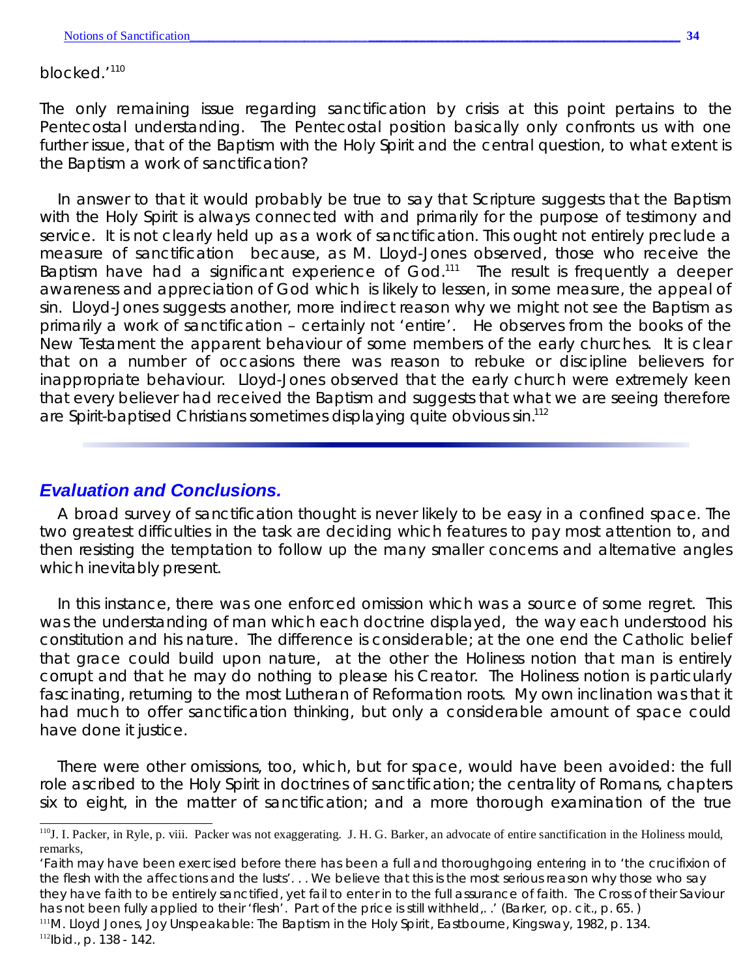blocked.<sup>'110</sup>

The only remaining issue regarding sanctification by crisis at this point pertains to the Pentecostal understanding. The Pentecostal position basically only confronts us with one further issue, that of the Baptism with the Holy Spirit and the central question, to what extent is the Baptism a work of sanctification?

In answer to that it would probably be true to say that Scripture suggests that the Baptism with the Holy Spirit is always connected with and primarily for the purpose of testimony and service. It is not clearly held up as a work of sanctification. This ought not entirely preclude a *measure* of sanctification because, as M. Lloyd-Jones observed, those who receive the Baptism have had a significant experience of  $God.^{111}$  The result is frequently a deeper awareness and appreciation of God which is likely to lessen, in some measure, the appeal of sin. Lloyd-Jones suggests another, more indirect reason why we might not see the Baptism as primarily a work of sanctification – certainly not 'entire'. He observes from the books of the New Testament the apparent behaviour of some members of the early churches. It is clear that on a number of occasions there was reason to rebuke or discipline believers for inappropriate behaviour. Lloyd-Jones observed that the early church were extremely keen that every believer had received the Baptism and suggests that what we are seeing therefore are Spirit-baptised Christians sometimes displaying quite obvious sin.<sup>112</sup>

### *Evaluation and Conclusions.*

A broad survey of sanctification thought is never likely to be easy in a confined space. The two greatest difficulties in the task are deciding which features to pay most attention to, and then resisting the temptation to follow up the many smaller concerns and alternative angles which inevitably present.

In this instance, there was one enforced omission which was a source of some regret. This was the understanding of man which each doctrine displayed, the way each understood his constitution and his nature. The difference is considerable; at the one end the Catholic belief that grace could build upon nature, at the other the Holiness notion that man is entirely corrupt and that he may do nothing to please his Creator. The Holiness notion is particularly fascinating, returning to the most Lutheran of Reformation roots. My own inclination was that it had much to offer sanctification thinking, but only a considerable amount of space could have done it justice.

There were other omissions, too, which, but for space, would have been avoided: the full role ascribed to the Holy Spirit in doctrines of sanctification; the centrality of Romans, chapters six to eight, in the matter of sanctification; and a more thorough examination of the true

<sup>111</sup>M. Lloyd Jones, *Joy Unspeakable: The Baptism in the Holy Spirit*, Eastbourne, Kingsway, 1982, p. 134.

<sup>112</sup>*Ibid*., p. 138 - 142.

<sup>&</sup>lt;sup>110</sup>J. I. Packer, in Ryle, p. viii. Packer was not exaggerating. J. H. G. Barker, an advocate of entire sanctification in the Holiness mould, remarks,

<sup>&#</sup>x27;Faith may have been exercised before there has been a full and thoroughgoing entering in to 'the crucifixion of the flesh with the affections and the lusts'. . . We believe that this is the most serious reason why those who say they have faith to be entirely sanctified, yet fail to enter in to the full assurance of faith. The Cross of their Saviour has not been fully applied to their 'flesh'. Part of the price is still withheld,. .' (Barker, *op. cit*., p. 65. )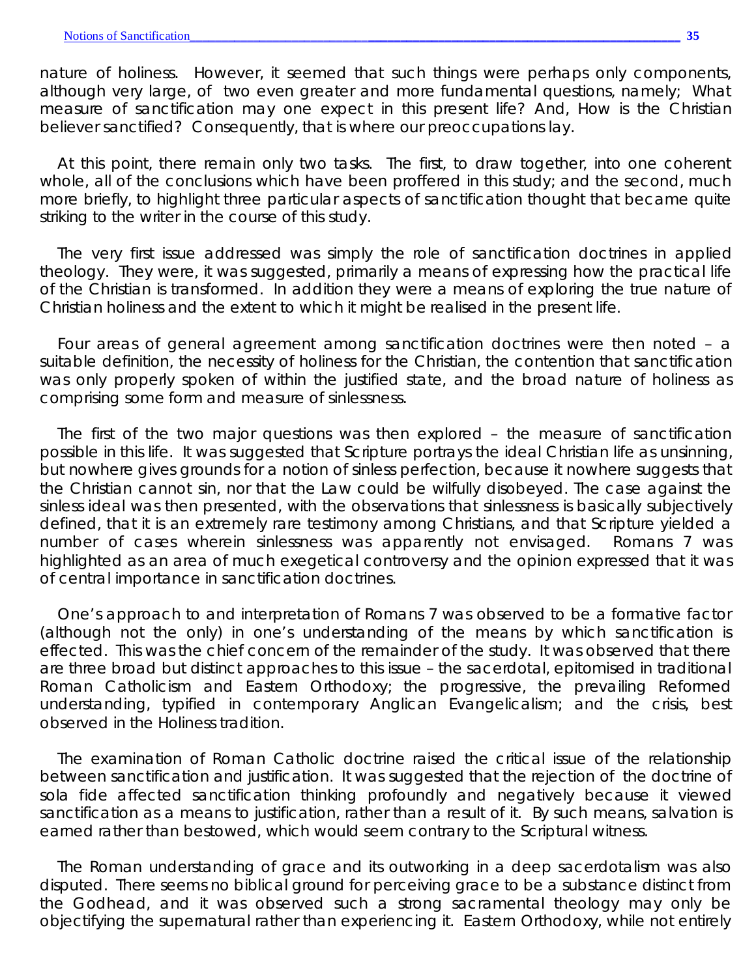*nature* of holiness. However, it seemed that such things were perhaps only components, although very large, of two even greater and more fundamental questions, namely; What measure of sanctification may one expect in this present life? And, How is the Christian believer sanctified? Consequently, that is where our preoccupations lay.

At this point, there remain only two tasks. The first, to draw together, into one coherent whole, all of the conclusions which have been proffered in this study; and the second, much more briefly, to highlight three particular aspects of sanctification thought that became quite striking to the writer in the course of this study.

The very first issue addressed was simply the role of sanctification doctrines in applied theology. They were, it was suggested, primarily a means of expressing how the practical life of the Christian is transformed. In addition they were a means of exploring the true nature of Christian holiness and the extent to which it might be realised in the present life.

Four areas of general agreement among sanctification doctrines were then noted – a suitable definition, the necessity of holiness for the Christian, the contention that sanctification was only properly spoken of within the justified state, and the broad nature of holiness as comprising some form and measure of sinlessness.

The first of the two major questions was then explored – the measure of sanctification possible in this life. It was suggested that Scripture portrays the ideal Christian life as unsinning, but nowhere gives grounds for a notion of sinless perfection, because it nowhere suggests that the Christian *cannot* sin, nor that the Law could be wilfully disobeyed. The case against the sinless ideal was then presented, with the observations that sinlessness is basically subjectively defined, that it is an extremely rare testimony among Christians, and that Scripture yielded a number of cases wherein sinlessness was apparently not envisaged. Romans 7 was highlighted as an area of much exegetical controversy and the opinion expressed that it was of central importance in sanctification doctrines.

One's approach to and interpretation of Romans 7 was observed to be a formative factor (although not the only) in one's understanding of the *means* by which sanctification is effected. This was the chief concern of the remainder of the study. It was observed that there are three broad but distinct approaches to this issue – the sacerdotal, epitomised in traditional Roman Catholicism and Eastern Orthodoxy; the progressive, the prevailing Reformed understanding, typified in contemporary Anglican Evangelicalism; and the crisis, best observed in the Holiness tradition.

The examination of Roman Catholic doctrine raised the critical issue of the relationship between sanctification and justification. It was suggested that the rejection of the doctrine of *sola fide* affected sanctification thinking profoundly and negatively because it viewed sanctification as a means to justification, rather than a result of it. By such means, salvation is earned rather than bestowed, which would seem contrary to the Scriptural witness.

The Roman understanding of grace and its outworking in a deep sacerdotalism was also disputed. There seems no biblical ground for perceiving grace to be a substance distinct from the Godhead, and it was observed such a strong sacramental theology may only be objectifying the supernatural rather than experiencing it. Eastern Orthodoxy, while not entirely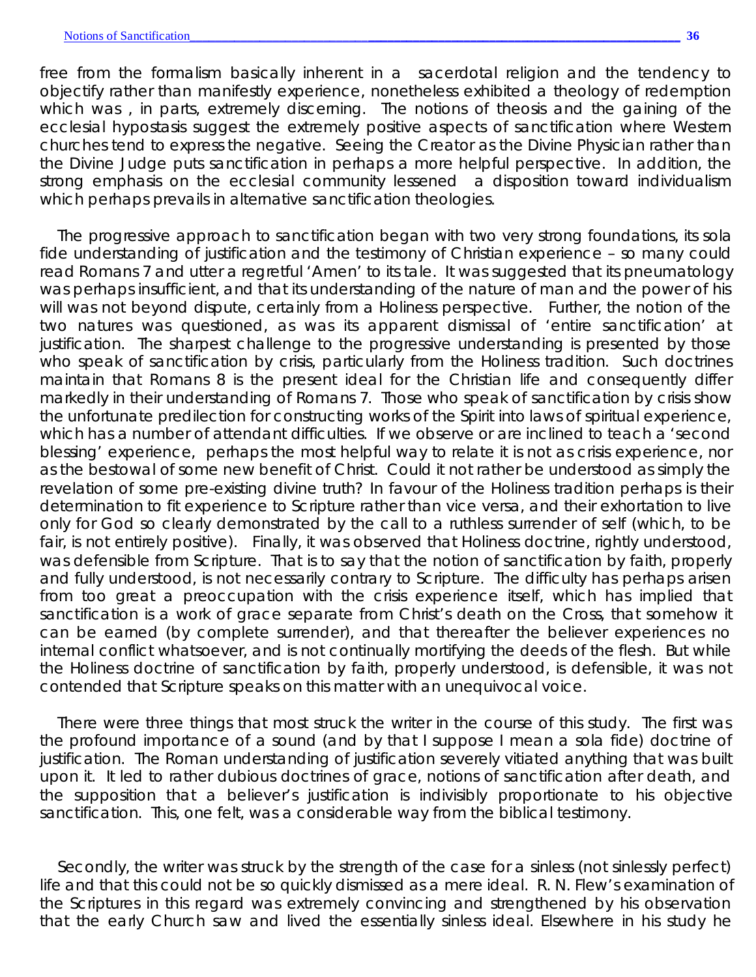free from the formalism basically inherent in a sacerdotal religion and the tendency to objectify rather than manifestly experience, nonetheless exhibited a theology of redemption which was , in parts, extremely discerning. The notions of *theosis* and the gaining of the ecclesial hypostasis suggest the extremely positive aspects of sanctification where Western churches tend to express the negative. Seeing the Creator as the Divine Physician rather than the Divine Judge puts sanctification in perhaps a more helpful perspective. In addition, the strong emphasis on the ecclesial community lessened a disposition toward individualism which perhaps prevails in alternative sanctification theologies.

The progressive approach to sanctification began with two very strong foundations, its *sola fide* understanding of justification and the testimony of Christian experience – so many could read Romans 7 and utter a regretful 'Amen' to its tale. It was suggested that its pneumatology was perhaps insufficient, and that its understanding of the nature of man and the power of his will was not beyond dispute, certainly from a Holiness perspective. Further, the notion of the two natures was questioned, as was its apparent dismissal of 'entire sanctification' at justification. The sharpest challenge to the progressive understanding is presented by those who speak of sanctification by crisis, particularly from the Holiness tradition. Such doctrines maintain that Romans 8 is the present ideal for the Christian life and consequently differ markedly in their understanding of Romans 7. Those who speak of sanctification by crisis show the unfortunate predilection for constructing works of the Spirit into laws of spiritual experience, which has a number of attendant difficulties. If we observe or are inclined to teach a 'second blessing' experience, perhaps the most helpful way to relate it is not as crisis experience, nor as the bestowal of some new benefit of Christ. Could it not rather be understood as simply the revelation of some pre-existing divine truth? In favour of the Holiness tradition perhaps is their determination to fit experience to Scripture rather than vice versa, and their exhortation to live only for God so clearly demonstrated by the call to a ruthless surrender of self (which, to be fair, is not entirely positive). Finally, it was observed that Holiness doctrine, rightly understood, *was* defensible from Scripture. That is to say that the notion of sanctification by faith, properly and fully understood, is not necessarily contrary to Scripture. The difficulty has perhaps arisen from too great a preoccupation with the crisis experience itself, which has implied that sanctification is a work of grace separate from Christ's death on the Cross, that somehow it can be earned (by complete surrender), and that thereafter the believer experiences no internal conflict whatsoever, and is not continually mortifying the deeds of the flesh. But while the Holiness doctrine of sanctification by faith, properly understood, *is* defensible, it was not contended that Scripture speaks on this matter with an unequivocal voice.

There were three things that most struck the writer in the course of this study. The first was the profound importance of a sound (and by that I suppose I mean a *sola fide*) doctrine of justification. The Roman understanding of justification severely vitiated anything that was built upon it. It led to rather dubious doctrines of grace, notions of sanctification after death, and the supposition that a believer's justification is indivisibly proportionate to his objective sanctification. This, one felt, was a considerable way from the biblical testimony.

Secondly, the writer was struck by the strength of the case for a sinless (not sinlessly perfect) life and that this could not be so quickly dismissed as a mere ideal. R. N. Flew's examination of the Scriptures in this regard was extremely convincing and strengthened by his observation that the early Church saw *and lived* the essentially sinless ideal. Elsewhere in his study he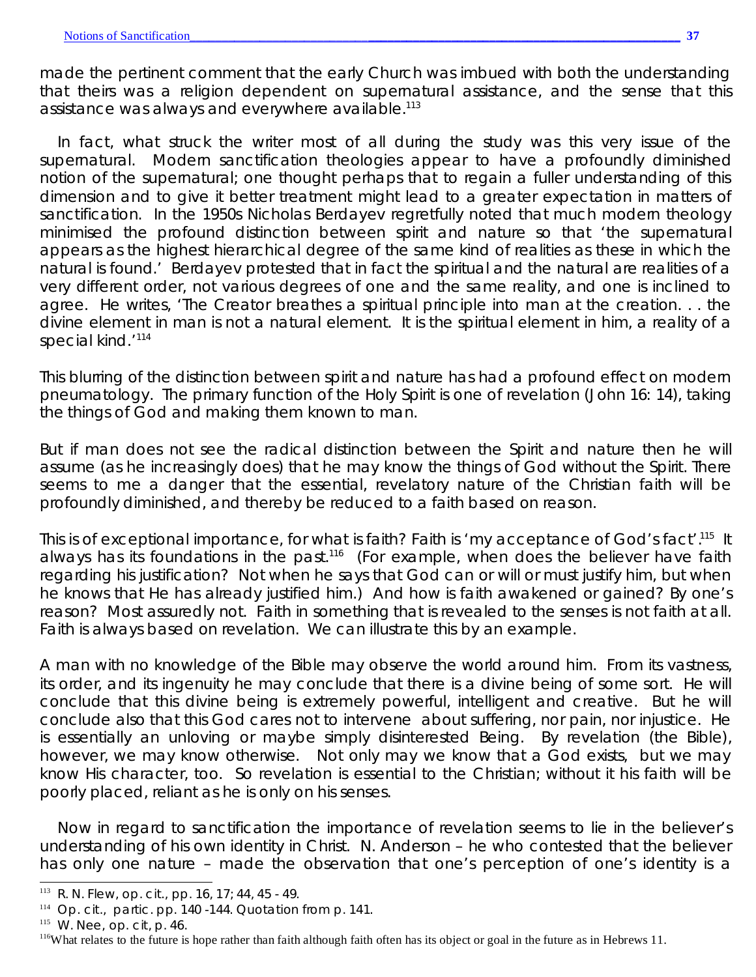made the pertinent comment that the early Church was imbued with both the understanding that theirs was a religion *dependent* on supernatural assistance, *and* the sense that this assistance was always and everywhere available.<sup>113</sup>

In fact, what struck the writer most of all during the study was this very issue of the supernatural. Modern sanctification theologies appear to have a profoundly diminished notion of the supernatural; one thought perhaps that to regain a fuller understanding of this dimension and to give it better treatment might lead to a greater expectation in matters of sanctification. In the 1950s Nicholas Berdayev regretfully noted that much modern theology minimised the profound distinction between spirit and nature so that 'the supernatural appears as the highest hierarchical degree of the same kind of realities as these in which the natural is found.' Berdayev protested that in fact the spiritual and the natural are realities of a very different order, not various degrees of one and the same reality, and one is inclined to agree. He writes, 'The Creator breathes a spiritual principle into man at the creation. . . the divine element in man is not a natural element. It is the spiritual element in him, a reality of a special kind.<sup>'114</sup>

This blurring of the distinction between spirit and nature has had a profound effect on modern pneumatology. The primary function of the Holy Spirit is one of revelation (John 16: 14), taking the things of God and making them known to man.

But if man does not see the radical distinction between the Spirit and nature then he will assume (as he increasingly does) that he may know the things of God without the Spirit. There seems to me a danger that the essential, revelatory nature of the Christian faith will be profoundly diminished, and thereby be reduced to a faith based on reason.

This is of exceptional importance, for what is faith? Faith is 'my acceptance of God's fact'.<sup>115</sup> It always has its foundations in the past.<sup>116</sup> (For example, when does the believer have faith regarding his justification? Not when he says that God can or will or must justify him, but when he knows that He *has* already justified him.) And how is faith awakened or gained? By one's reason? Most assuredly not. Faith in something that is revealed to the senses is not faith at all. Faith is always based on revelation. We can illustrate this by an example.

A man with no knowledge of the Bible may observe the world around him. From its vastness, its order, and its ingenuity he may conclude that there is a divine being of some sort. He will conclude that this divine being is extremely powerful, intelligent and creative. But he will conclude also that this God cares not to intervene about suffering, nor pain, nor injustice. He is essentially an unloving or maybe simply disinterested Being. By revelation (the Bible), however, we may know otherwise. Not only may we know that a God exists, but we may know His character, too. So revelation is essential to the Christian; without it his faith will be poorly placed, reliant as he is only on his senses.

Now in regard to sanctification the importance of revelation seems to lie in the believer's understanding of his own identity in Christ. N. Anderson – he who contested that the believer has only one nature – made the observation that one's perception of one's identity is a

<sup>113</sup> R. N. Flew, *op. cit.*, pp. 16, 17; 44, 45 - 49.

<sup>114</sup> *Op. cit.,* partic. pp. 140 -144. Quotation from p. 141.

<sup>115</sup> W. Nee, *op. cit*, p. 46.

<sup>&</sup>lt;sup>116</sup>What relates to the future is hope rather than faith although faith often has its object or goal in the future as in Hebrews 11.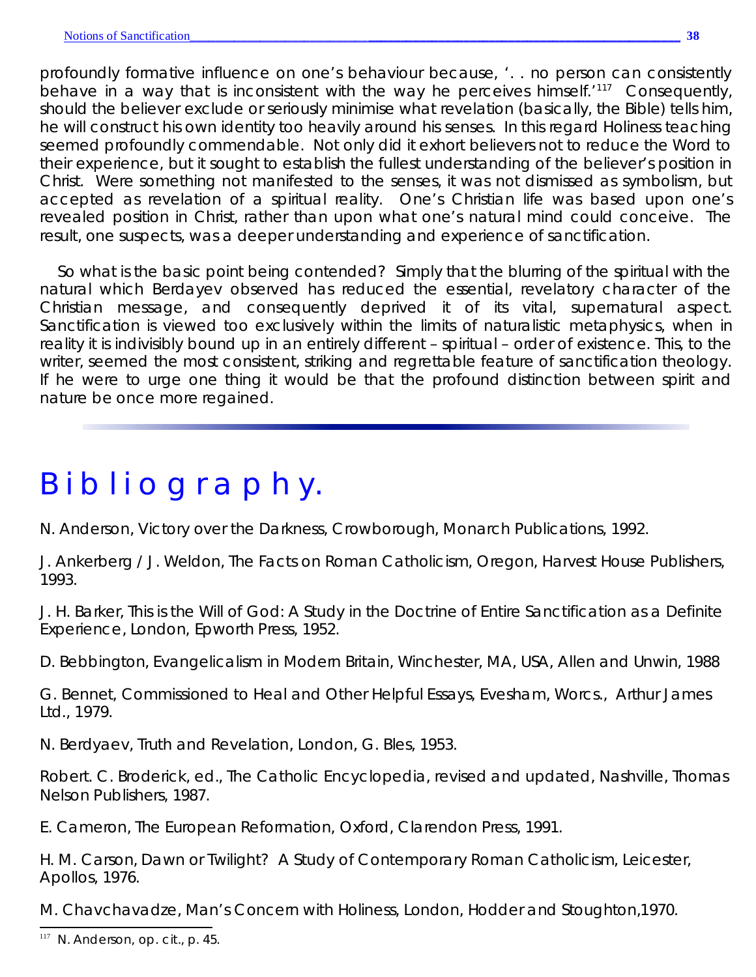profoundly formative influence on one's behaviour because, '. . no person can consistently behave in a way that is inconsistent with the way he perceives himself.<sup> $117$ </sup> Consequently, should the believer exclude or seriously minimise what revelation (basically, the Bible) tells him, he will construct his own identity too heavily around his senses. In this regard Holiness teaching seemed profoundly commendable. Not only did it exhort believers not to reduce the Word to their experience, but it sought to establish the fullest understanding of the believer's position in Christ. Were something not manifested to the senses, it was not dismissed as symbolism, but accepted as revelation of a spiritual reality. One's Christian life was based upon one's *revealed* position in Christ, rather than upon what one's natural mind could conceive. The result, one suspects, was a deeper understanding and experience of sanctification.

So what is the basic point being contended? Simply that the blurring of the spiritual with the natural which Berdayev observed has reduced the essential, revelatory character of the Christian message, and consequently deprived it of its vital, supernatural aspect. Sanctification is viewed too exclusively within the limits of naturalistic metaphysics, when in reality it is indivisibly bound up in an entirely different – spiritual – order of existence. This, to the writer, seemed the most consistent, striking and regrettable feature of sanctification theology. If he were to urge one thing it would be that the profound distinction between spirit and nature be once more regained.

# B i b l i o g r a p h y.

N. Anderson, *Victory over the Darkness*, Crowborough, Monarch Publications, 1992.

J. Ankerberg / J. Weldon, *The Facts on Roman Catholicism*, Oregon, Harvest House Publishers, 1993.

J. H. Barker, *This is the Will of God: A Study in the Doctrine of Entire Sanctification as a Definite Experience*, London, Epworth Press, 1952.

D. Bebbington, *Evangelicalism in Modern Britain*, Winchester, MA, USA, Allen and Unwin, 1988

G. Bennet, *Commissioned to Heal and Other Helpful Essays*, Evesham, Worcs., Arthur James Ltd., 1979.

N. Berdyaev, *Truth and Revelation*, London, G. Bles, 1953.

Robert. C. Broderick, ed., *The Catholic Encyclopedia*, revised and updated, Nashville, Thomas Nelson Publishers, 1987.

E. Cameron, *The European Reformation*, Oxford, Clarendon Press, 1991.

H. M. Carson, *Dawn or Twilight? A Study of Contemporary Roman Catholicism*, Leicester, Apollos, 1976.

M. Chavchavadze, *Man's Concern with Holiness*, London, Hodder and Stoughton,1970.

<sup>117</sup> N. Anderson, *op. cit*., p. 45.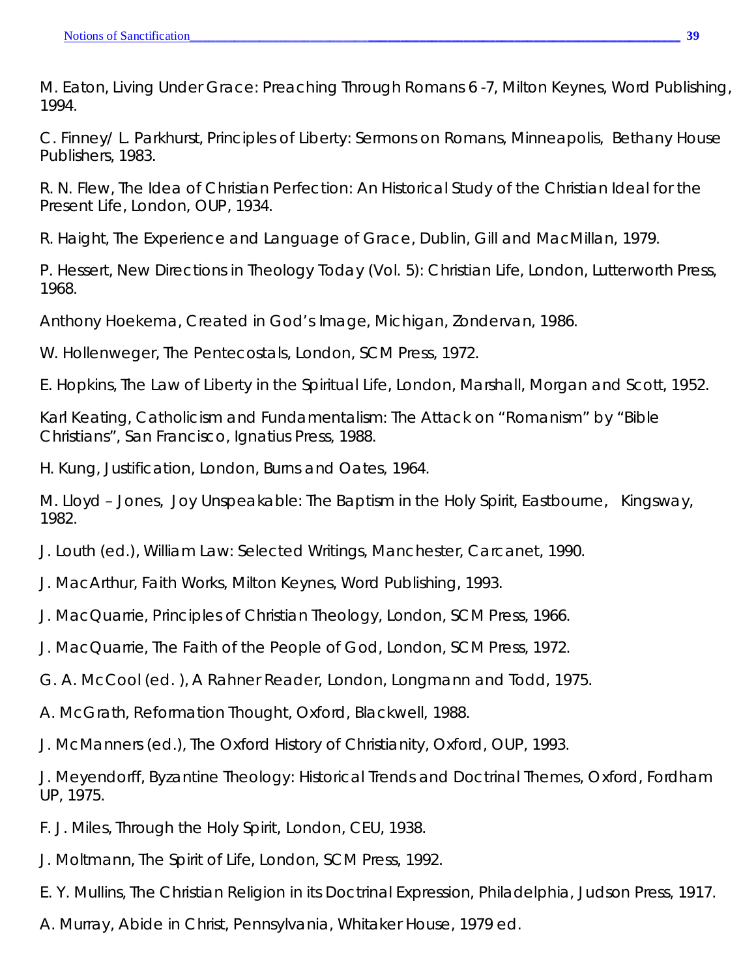M. Eaton, *Living Under Grace*: *Preaching Through Romans 6 -7*, Milton Keynes, Word Publishing, 1994.

C. Finney/ L. Parkhurst, *Principles of Liberty: Sermons on Romans*, Minneapolis, Bethany House Publishers, 1983.

R. N. Flew, *The Idea of Christian Perfection: An Historical Study of the Christian Ideal for the Present Life*, London, OUP, 1934.

R. Haight, *The Experience and Language of Grace*, Dublin, Gill and MacMillan, 1979.

P. Hessert, *New Directions in Theology Today (Vol. 5): Christian Life*, London, Lutterworth Press, 1968.

Anthony Hoekema, *Created in God's Image*, Michigan, Zondervan, 1986.

W. Hollenweger, *The Pentecostals*, London, SCM Press, 1972.

E. Hopkins, *The Law of Liberty in the Spiritual Life*, London, Marshall, Morgan and Scott, 1952.

Karl Keating, *Catholicism and Fundamentalism: The Attack on "Romanism" by "Bible Christians"*, San Francisco, Ignatius Press, 1988.

H. Kung, *Justification*, London, Burns and Oates, 1964.

M. Lloyd – Jones, *Joy Unspeakable: The Baptism in the Holy Spirit*, Eastbourne, Kingsway, 1982.

J. Louth (ed.), *William Law: Selected Writings*, Manchester, Carcanet, 1990.

- J. MacArthur, *Faith Works*, Milton Keynes, Word Publishing, 1993.
- J. MacQuarrie, *Principles of Christian Theology*, London, SCM Press, 1966.
- J. MacQuarrie, *The Faith of the People of God*, London, SCM Press, 1972.
- G. A. McCool (ed. ), *A Rahner Reader,* London, Longmann and Todd, 1975.
- A. McGrath, *Reformation Thought*, Oxford, Blackwell, 1988.
- J. McManners (ed.), *The Oxford History of Christianity*, Oxford, OUP, 1993.

J. Meyendorff, *Byzantine Theology: Historical Trends and Doctrinal Themes*, Oxford, Fordham UP, 1975.

- F. J. Miles, *Through the Holy Spirit,* London, CEU, 1938.
- J. Moltmann, *The Spirit of Life*, London, SCM Press, 1992.
- E. Y. Mullins, *The Christian Religion in its Doctrinal Expression*, Philadelphia, Judson Press, 1917.
- A. Murray, *Abide in Christ*, Pennsylvania, Whitaker House, 1979 ed.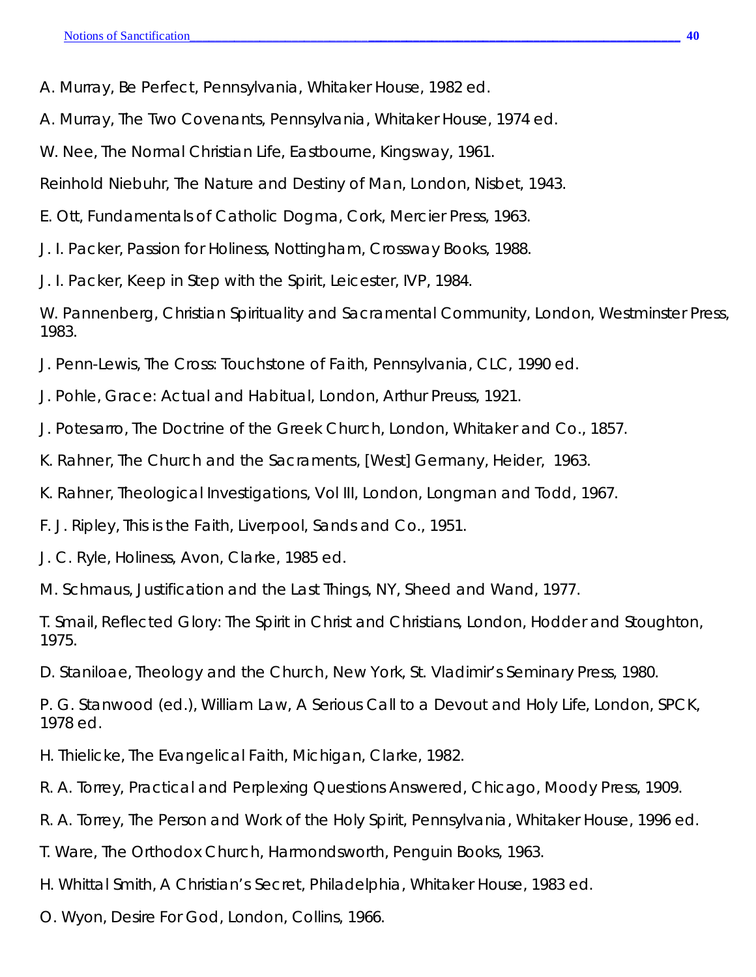A. Murray, *Be Perfect*, Pennsylvania, Whitaker House, 1982 ed.

A. Murray, *The Two Covenants*, Pennsylvania, Whitaker House, 1974 ed.

W. Nee, *The Normal Christian Life*, Eastbourne, Kingsway, 1961.

Reinhold Niebuhr, *The Nature and Destiny of Man*, London, Nisbet, 1943.

E. Ott, *Fundamentals of Catholic Dogma*, Cork, Mercier Press, 1963.

J. I. Packer, *Passion for Holiness*, Nottingham, Crossway Books, 1988.

J. I. Packer*, Keep in Step with the Spirit*, Leicester, IVP, 1984.

W. Pannenberg, *Christian Spirituality and Sacramental Community*, London, Westminster Press, 1983.

J. Penn-Lewis, *The Cross: Touchstone of Faith*, Pennsylvania, CLC, 1990 ed.

J. Pohle, *Grace: Actual and Habitual*, London, Arthur Preuss, 1921.

J. Potesarro, *The Doctrine of the Greek Church*, London, Whitaker and Co., 1857.

K. Rahner, *The Church and the Sacraments*, [West] Germany, Heider, 1963.

K. Rahner, *Theological Investigations*, Vol III, London, Longman and Todd, 1967.

F. J. Ripley, *This is the Faith*, Liverpool, Sands and Co., 1951.

J. C. Ryle, *Holiness*, Avon, Clarke, 1985 ed.

M. Schmaus, *Justification and the Last Things*, NY, Sheed and Wand, 1977.

T. Smail, *Reflected Glory: The Spirit in Christ and Christians*, London, Hodder and Stoughton, 1975.

D. Staniloae, *Theology and the Church*, New York, St. Vladimir's Seminary Press, 1980.

P. G. Stanwood (ed.), *William Law, A Serious Call to a Devout and Holy Life*, London, SPCK, 1978 ed.

H. Thielicke, *The Evangelical Faith*, Michigan, Clarke, 1982.

R. A. Torrey, *Practical and Perplexing Questions Answered*, Chicago, Moody Press, 1909.

R. A. Torrey, *The Person and Work of the Holy Spirit*, Pennsylvania, Whitaker House, 1996 ed.

T. Ware, *The Orthodox Church*, Harmondsworth, Penguin Books, 1963.

H. Whittal Smith, *A Christian's Secret,* Philadelphia, Whitaker House, 1983 ed.

O. Wyon, *Desire For God*, London, Collins, 1966.